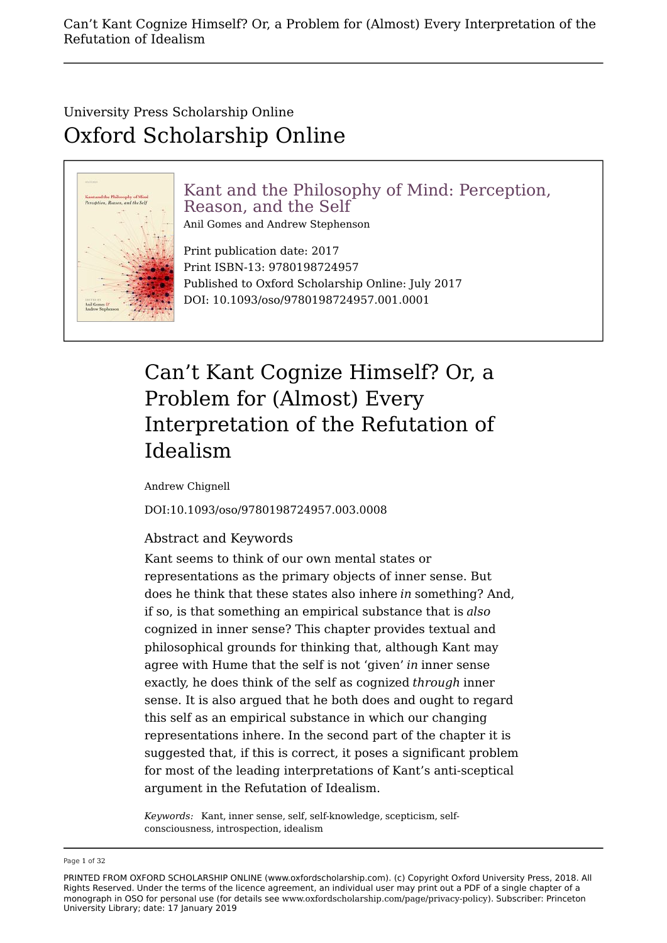# University Press Scholarship Online Oxford Scholarship Online



Kant and the Philosophy of Mind: Perception, Reason, and the Self Anil Gomes and Andrew Stephenson

Print publication date: 2017 Print ISBN-13: 9780198724957 Published to Oxford Scholarship Online: July 2017 DOI: 10.1093/oso/9780198724957.001.0001

# Can't Kant Cognize Himself? Or, a Problem for (Almost) Every Interpretation of the Refutation of Idealism

Andrew Chignell

DOI:10.1093/oso/9780198724957.003.0008

### Abstract and Keywords

Kant seems to think of our own mental states or representations as the primary objects of inner sense. But does he think that these states also inhere *in* something? And, if so, is that something an empirical substance that is *also* cognized in inner sense? This chapter provides textual and philosophical grounds for thinking that, although Kant may agree with Hume that the self is not 'given' *in* inner sense exactly, he does think of the self as cognized *through* inner sense. It is also argued that he both does and ought to regard this self as an empirical substance in which our changing representations inhere. In the second part of the chapter it is suggested that, if this is correct, it poses a significant problem for most of the leading interpretations of Kant's anti-sceptical argument in the Refutation of Idealism.

*Keywords:* Kant, inner sense, self, self-knowledge, scepticism, selfconsciousness, introspection, idealism

Page 1 of 32

PRINTED FROM OXFORD SCHOLARSHIP ONLINE (www.oxfordscholarship.com). (c) Copyright Oxford University Press, 2018. All Rights Reserved. Under the terms of the licence agreement, an individual user may print out a PDF of a single chapter of a monograph in OSO for personal use (for details see www.oxfordscholarship.com/page/privacy-policy). Subscriber: Princeton University Library; date: 17 January 2019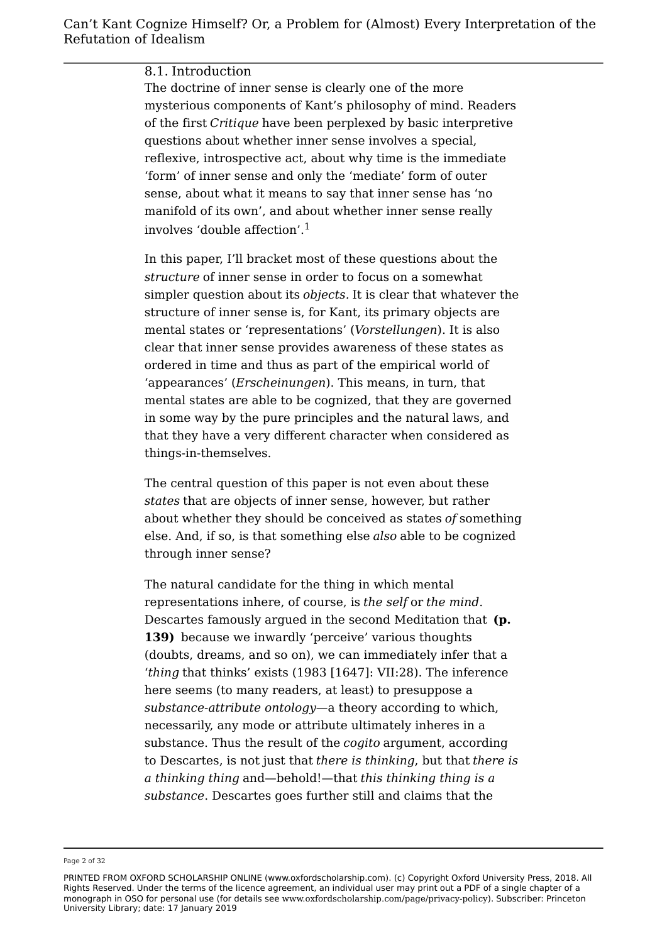#### 8.1. Introduction

The doctrine of inner sense is clearly one of the more mysterious components of Kant's philosophy of mind. Readers of the first *Critique* have been perplexed by basic interpretive questions about whether inner sense involves a special, reflexive, introspective act, about why time is the immediate 'form' of inner sense and only the 'mediate' form of outer sense, about what it means to say that inner sense has 'no manifold of its own', and about whether inner sense really involves 'double affection'.<sup>1</sup>

In this paper, I'll bracket most of these questions about the *structure* of inner sense in order to focus on a somewhat simpler question about its *objects.* It is clear that whatever the structure of inner sense is, for Kant, its primary objects are mental states or 'representations' (*Vorstellungen*). It is also clear that inner sense provides awareness of these states as ordered in time and thus as part of the empirical world of 'appearances' (*Erscheinungen*). This means, in turn, that mental states are able to be cognized, that they are governed in some way by the pure principles and the natural laws, and that they have a very different character when considered as things-in-themselves.

The central question of this paper is not even about these *states* that are objects of inner sense, however, but rather about whether they should be conceived as states *of* something else. And, if so, is that something else *also* able to be cognized through inner sense?

The natural candidate for the thing in which mental representations inhere, of course, is *the self* or *the mind*. Descartes famously argued in the second Meditation that **(p. 139)** because we inwardly 'perceive' various thoughts (doubts, dreams, and so on), we can immediately infer that a '*thing* that thinks' exists (1983 [1647]: VII:28). The inference here seems (to many readers, at least) to presuppose a *substance-attribute ontology*—a theory according to which, necessarily, any mode or attribute ultimately inheres in a substance. Thus the result of the *cogito* argument, according to Descartes, is not just that *there is thinking*, but that *there is a thinking thing* and—behold!—that *this thinking thing is a substance*. Descartes goes further still and claims that the

Page 2 of 32

PRINTED FROM OXFORD SCHOLARSHIP ONLINE (www.oxfordscholarship.com). (c) Copyright Oxford University Press, 2018. All Rights Reserved. Under the terms of the licence agreement, an individual user may print out a PDF of a single chapter of a monograph in OSO for personal use (for details see www.oxfordscholarship.com/page/privacy-policy). Subscriber: Princeton University Library; date: 17 January 2019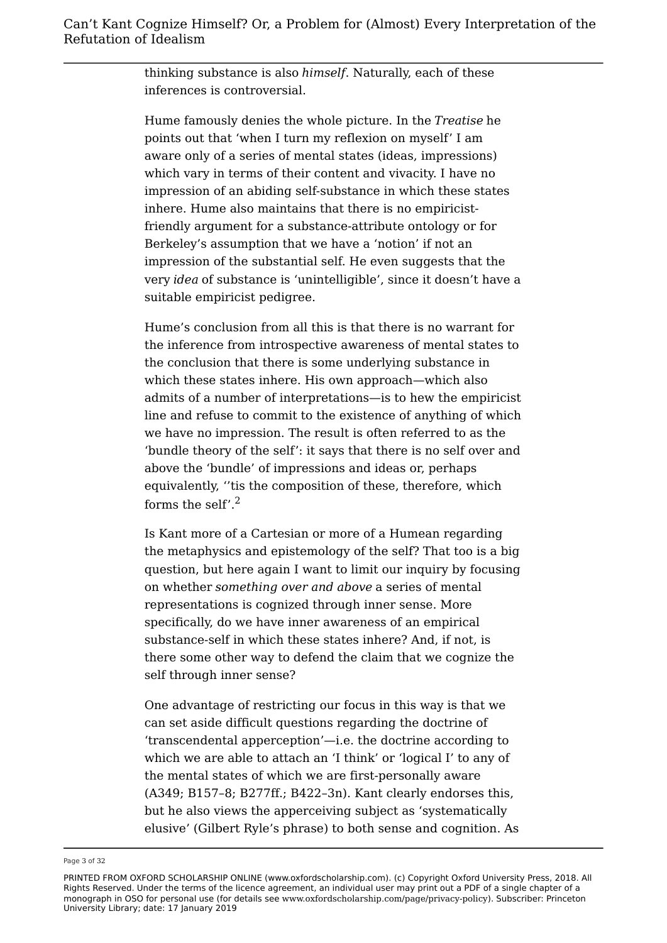thinking substance is also *himself*. Naturally, each of these inferences is controversial.

Hume famously denies the whole picture. In the *Treatise* he points out that 'when I turn my reflexion on myself' I am aware only of a series of mental states (ideas, impressions) which vary in terms of their content and vivacity. I have no impression of an abiding self-substance in which these states inhere. Hume also maintains that there is no empiricistfriendly argument for a substance-attribute ontology or for Berkeley's assumption that we have a 'notion' if not an impression of the substantial self. He even suggests that the very *idea* of substance is 'unintelligible', since it doesn't have a suitable empiricist pedigree.

Hume's conclusion from all this is that there is no warrant for the inference from introspective awareness of mental states to the conclusion that there is some underlying substance in which these states inhere. His own approach—which also admits of a number of interpretations—is to hew the empiricist line and refuse to commit to the existence of anything of which we have no impression. The result is often referred to as the 'bundle theory of the self': it says that there is no self over and above the 'bundle' of impressions and ideas or, perhaps equivalently, ''tis the composition of these, therefore, which forms the self'.<sup>2</sup>

Is Kant more of a Cartesian or more of a Humean regarding the metaphysics and epistemology of the self? That too is a big question, but here again I want to limit our inquiry by focusing on whether *something over and above* a series of mental representations is cognized through inner sense. More specifically, do we have inner awareness of an empirical substance-self in which these states inhere? And, if not, is there some other way to defend the claim that we cognize the self through inner sense?

One advantage of restricting our focus in this way is that we can set aside difficult questions regarding the doctrine of 'transcendental apperception'—i.e. the doctrine according to which we are able to attach an 'I think' or 'logical I' to any of the mental states of which we are first-personally aware (A349; B157–8; B277ff.; B422–3n). Kant clearly endorses this, but he also views the apperceiving subject as 'systematically elusive' (Gilbert Ryle's phrase) to both sense and cognition. As

Page 3 of 32

PRINTED FROM OXFORD SCHOLARSHIP ONLINE (www.oxfordscholarship.com). (c) Copyright Oxford University Press, 2018. All Rights Reserved. Under the terms of the licence agreement, an individual user may print out a PDF of a single chapter of a monograph in OSO for personal use (for details see www.oxfordscholarship.com/page/privacy-policy). Subscriber: Princeton University Library; date: 17 January 2019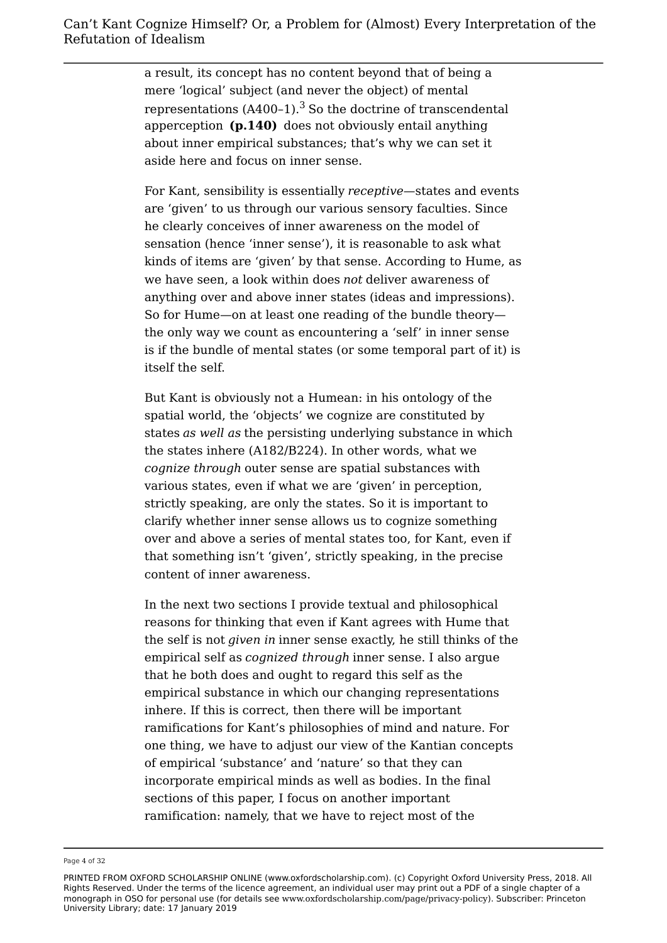a result, its concept has no content beyond that of being a mere 'logical' subject (and never the object) of mental representations  $(A400-1)$ .<sup>3</sup> So the doctrine of transcendental apperception **(p.140)** does not obviously entail anything about inner empirical substances; that's why we can set it aside here and focus on inner sense.

For Kant, sensibility is essentially *receptive*—states and events are 'given' to us through our various sensory faculties. Since he clearly conceives of inner awareness on the model of sensation (hence 'inner sense'), it is reasonable to ask what kinds of items are 'given' by that sense. According to Hume, as we have seen, a look within does *not* deliver awareness of anything over and above inner states (ideas and impressions). So for Hume—on at least one reading of the bundle theory the only way we count as encountering a 'self' in inner sense is if the bundle of mental states (or some temporal part of it) is itself the self.

But Kant is obviously not a Humean: in his ontology of the spatial world, the 'objects' we cognize are constituted by states *as well as* the persisting underlying substance in which the states inhere (A182/B224). In other words, what we *cognize through* outer sense are spatial substances with various states, even if what we are 'given' in perception, strictly speaking, are only the states. So it is important to clarify whether inner sense allows us to cognize something over and above a series of mental states too, for Kant, even if that something isn't 'given', strictly speaking, in the precise content of inner awareness.

In the next two sections I provide textual and philosophical reasons for thinking that even if Kant agrees with Hume that the self is not *given in* inner sense exactly, he still thinks of the empirical self as *cognized through* inner sense. I also argue that he both does and ought to regard this self as the empirical substance in which our changing representations inhere. If this is correct, then there will be important ramifications for Kant's philosophies of mind and nature. For one thing, we have to adjust our view of the Kantian concepts of empirical 'substance' and 'nature' so that they can incorporate empirical minds as well as bodies. In the final sections of this paper, I focus on another important ramification: namely, that we have to reject most of the

Page 4 of 32

PRINTED FROM OXFORD SCHOLARSHIP ONLINE (www.oxfordscholarship.com). (c) Copyright Oxford University Press, 2018. All Rights Reserved. Under the terms of the licence agreement, an individual user may print out a PDF of a single chapter of a monograph in OSO for personal use (for details see www.oxfordscholarship.com/page/privacy-policy). Subscriber: Princeton University Library; date: 17 January 2019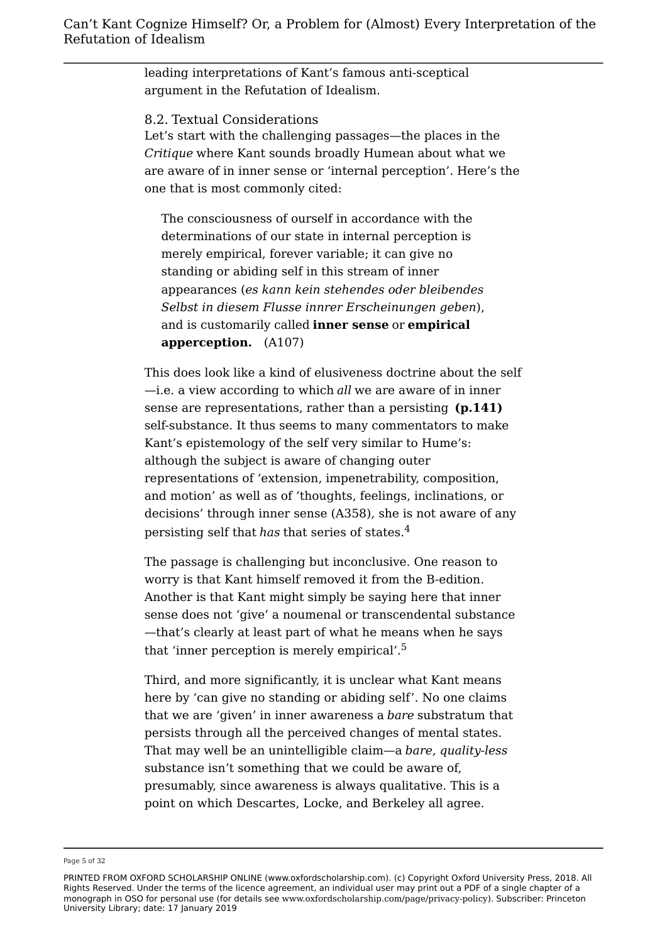leading interpretations of Kant's famous anti-sceptical argument in the Refutation of Idealism.

#### 8.2. Textual Considerations

Let's start with the challenging passages—the places in the *Critique* where Kant sounds broadly Humean about what we are aware of in inner sense or 'internal perception'. Here's the one that is most commonly cited:

The consciousness of ourself in accordance with the determinations of our state in internal perception is merely empirical, forever variable; it can give no standing or abiding self in this stream of inner appearances (*es kann kein stehendes oder bleibendes Selbst in diesem Flusse innrer Erscheinungen geben*), and is customarily called **inner sense** or **empirical apperception.** (A107)

This does look like a kind of elusiveness doctrine about the self —i.e. a view according to which *all* we are aware of in inner sense are representations, rather than a persisting **(p.141)** self-substance. It thus seems to many commentators to make Kant's epistemology of the self very similar to Hume's: although the subject is aware of changing outer representations of 'extension, impenetrability, composition, and motion' as well as of 'thoughts, feelings, inclinations, or decisions' through inner sense (A358), she is not aware of any persisting self that *has* that series of states.<sup>4</sup>

The passage is challenging but inconclusive. One reason to worry is that Kant himself removed it from the B-edition. Another is that Kant might simply be saying here that inner sense does not 'give' a noumenal or transcendental substance —that's clearly at least part of what he means when he says that 'inner perception is merely empirical'.<sup>5</sup>

Third, and more significantly, it is unclear what Kant means here by 'can give no standing or abiding self'. No one claims that we are 'given' in inner awareness a *bare* substratum that persists through all the perceived changes of mental states. That may well be an unintelligible claim—a *bare, quality-less* substance isn't something that we could be aware of, presumably, since awareness is always qualitative. This is a point on which Descartes, Locke, and Berkeley all agree.

Page 5 of 32

PRINTED FROM OXFORD SCHOLARSHIP ONLINE (www.oxfordscholarship.com). (c) Copyright Oxford University Press, 2018. All Rights Reserved. Under the terms of the licence agreement, an individual user may print out a PDF of a single chapter of a monograph in OSO for personal use (for details see www.oxfordscholarship.com/page/privacy-policy). Subscriber: Princeton University Library; date: 17 January 2019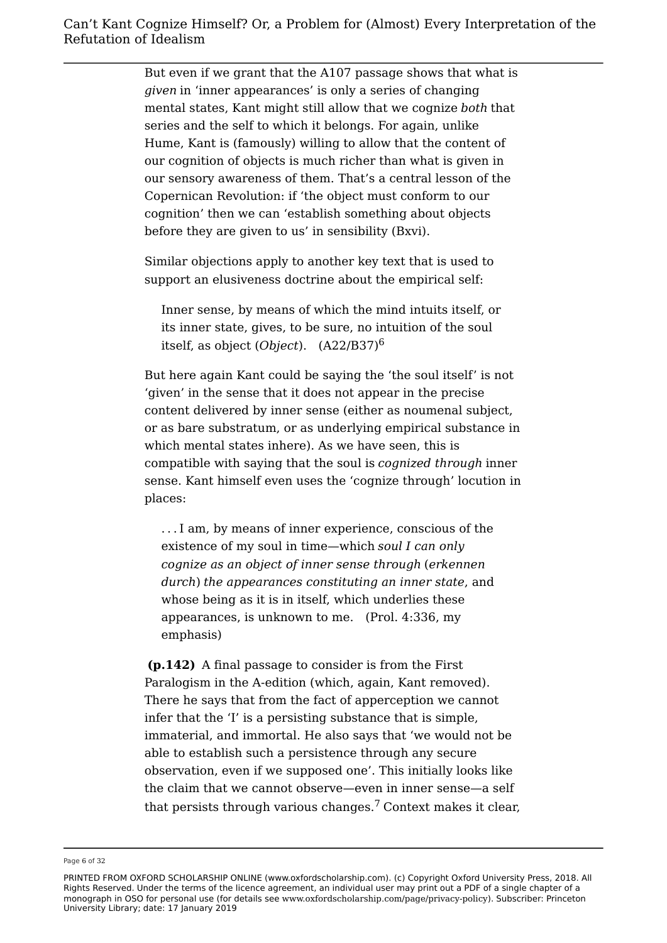But even if we grant that the A107 passage shows that what is *given* in 'inner appearances' is only a series of changing mental states, Kant might still allow that we cognize *both* that series and the self to which it belongs. For again, unlike Hume, Kant is (famously) willing to allow that the content of our cognition of objects is much richer than what is given in our sensory awareness of them. That's a central lesson of the Copernican Revolution: if 'the object must conform to our cognition' then we can 'establish something about objects before they are given to us' in sensibility (Bxvi).

Similar objections apply to another key text that is used to support an elusiveness doctrine about the empirical self:

Inner sense, by means of which the mind intuits itself, or its inner state, gives, to be sure, no intuition of the soul itself, as object (*Object*). (A22/B37)<sup>6</sup>

But here again Kant could be saying the 'the soul itself' is not 'given' in the sense that it does not appear in the precise content delivered by inner sense (either as noumenal subject, or as bare substratum, or as underlying empirical substance in which mental states inhere). As we have seen, this is compatible with saying that the soul is *cognized through* inner sense. Kant himself even uses the 'cognize through' locution in places:

. . . I am, by means of inner experience, conscious of the existence of my soul in time—which *soul I can only cognize as an object of inner sense through* (*erkennen durch*) *the appearances constituting an inner state*, and whose being as it is in itself, which underlies these appearances, is unknown to me. (Prol. 4:336, my emphasis)

 **(p.142)** A final passage to consider is from the First Paralogism in the A-edition (which, again, Kant removed). There he says that from the fact of apperception we cannot infer that the 'I' is a persisting substance that is simple, immaterial, and immortal. He also says that 'we would not be able to establish such a persistence through any secure observation, even if we supposed one'. This initially looks like the claim that we cannot observe—even in inner sense—a self that persists through various changes.<sup>7</sup> Context makes it clear,

Page 6 of 32

PRINTED FROM OXFORD SCHOLARSHIP ONLINE (www.oxfordscholarship.com). (c) Copyright Oxford University Press, 2018. All Rights Reserved. Under the terms of the licence agreement, an individual user may print out a PDF of a single chapter of a monograph in OSO for personal use (for details see www.oxfordscholarship.com/page/privacy-policy). Subscriber: Princeton University Library; date: 17 January 2019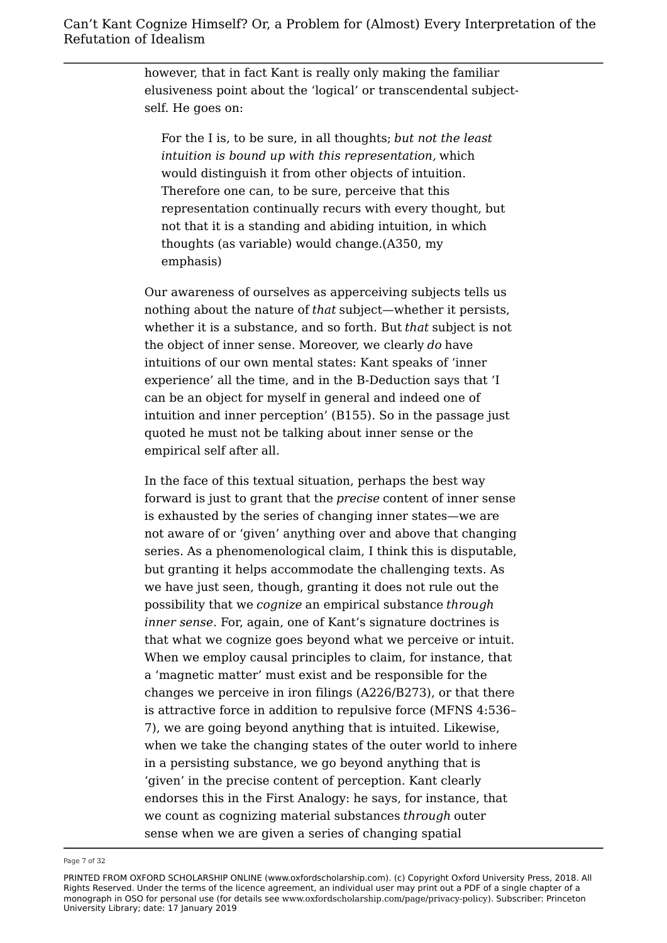however, that in fact Kant is really only making the familiar elusiveness point about the 'logical' or transcendental subjectself. He goes on:

For the I is, to be sure, in all thoughts; *but not the least intuition is bound up with this representation,* which would distinguish it from other objects of intuition. Therefore one can, to be sure, perceive that this representation continually recurs with every thought, but not that it is a standing and abiding intuition, in which thoughts (as variable) would change.(A350, my emphasis)

Our awareness of ourselves as apperceiving subjects tells us nothing about the nature of *that* subject—whether it persists, whether it is a substance, and so forth. But *that* subject is not the object of inner sense. Moreover, we clearly *do* have intuitions of our own mental states: Kant speaks of 'inner experience' all the time, and in the B-Deduction says that 'I can be an object for myself in general and indeed one of intuition and inner perception' (B155). So in the passage just quoted he must not be talking about inner sense or the empirical self after all.

In the face of this textual situation, perhaps the best way forward is just to grant that the *precise* content of inner sense is exhausted by the series of changing inner states—we are not aware of or 'given' anything over and above that changing series. As a phenomenological claim, I think this is disputable, but granting it helps accommodate the challenging texts. As we have just seen, though, granting it does not rule out the possibility that we *cognize* an empirical substance *through inner sense*. For, again, one of Kant's signature doctrines is that what we cognize goes beyond what we perceive or intuit. When we employ causal principles to claim, for instance, that a 'magnetic matter' must exist and be responsible for the changes we perceive in iron filings (A226/B273), or that there is attractive force in addition to repulsive force (MFNS 4:536– 7), we are going beyond anything that is intuited. Likewise, when we take the changing states of the outer world to inhere in a persisting substance, we go beyond anything that is 'given' in the precise content of perception. Kant clearly endorses this in the First Analogy: he says, for instance, that we count as cognizing material substances *through* outer sense when we are given a series of changing spatial

Page 7 of 32

PRINTED FROM OXFORD SCHOLARSHIP ONLINE (www.oxfordscholarship.com). (c) Copyright Oxford University Press, 2018. All Rights Reserved. Under the terms of the licence agreement, an individual user may print out a PDF of a single chapter of a monograph in OSO for personal use (for details see www.oxfordscholarship.com/page/privacy-policy). Subscriber: Princeton University Library; date: 17 January 2019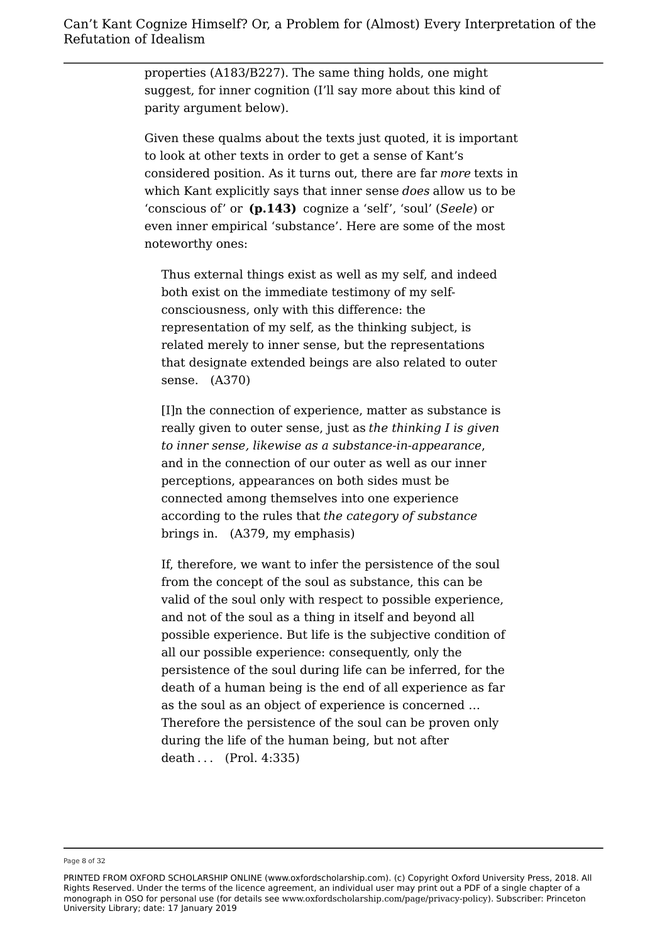properties (A183/B227). The same thing holds, one might suggest, for inner cognition (I'll say more about this kind of parity argument below).

Given these qualms about the texts just quoted, it is important to look at other texts in order to get a sense of Kant's considered position. As it turns out, there are far *more* texts in which Kant explicitly says that inner sense *does* allow us to be 'conscious of' or **(p.143)** cognize a 'self', 'soul' (*Seele*) or even inner empirical 'substance'. Here are some of the most noteworthy ones:

Thus external things exist as well as my self, and indeed both exist on the immediate testimony of my selfconsciousness, only with this difference: the representation of my self, as the thinking subject, is related merely to inner sense, but the representations that designate extended beings are also related to outer sense. (A370)

[I]n the connection of experience, matter as substance is really given to outer sense, just as *the thinking I is given to inner sense, likewise as a substance-in-appearance*, and in the connection of our outer as well as our inner perceptions, appearances on both sides must be connected among themselves into one experience according to the rules that *the category of substance* brings in. (A379, my emphasis)

If, therefore, we want to infer the persistence of the soul from the concept of the soul as substance, this can be valid of the soul only with respect to possible experience, and not of the soul as a thing in itself and beyond all possible experience. But life is the subjective condition of all our possible experience: consequently, only the persistence of the soul during life can be inferred, for the death of a human being is the end of all experience as far as the soul as an object of experience is concerned … Therefore the persistence of the soul can be proven only during the life of the human being, but not after death . . . (Prol. 4:335)

Page 8 of 32

PRINTED FROM OXFORD SCHOLARSHIP ONLINE (www.oxfordscholarship.com). (c) Copyright Oxford University Press, 2018. All Rights Reserved. Under the terms of the licence agreement, an individual user may print out a PDF of a single chapter of a monograph in OSO for personal use (for details see www.oxfordscholarship.com/page/privacy-policy). Subscriber: Princeton University Library; date: 17 January 2019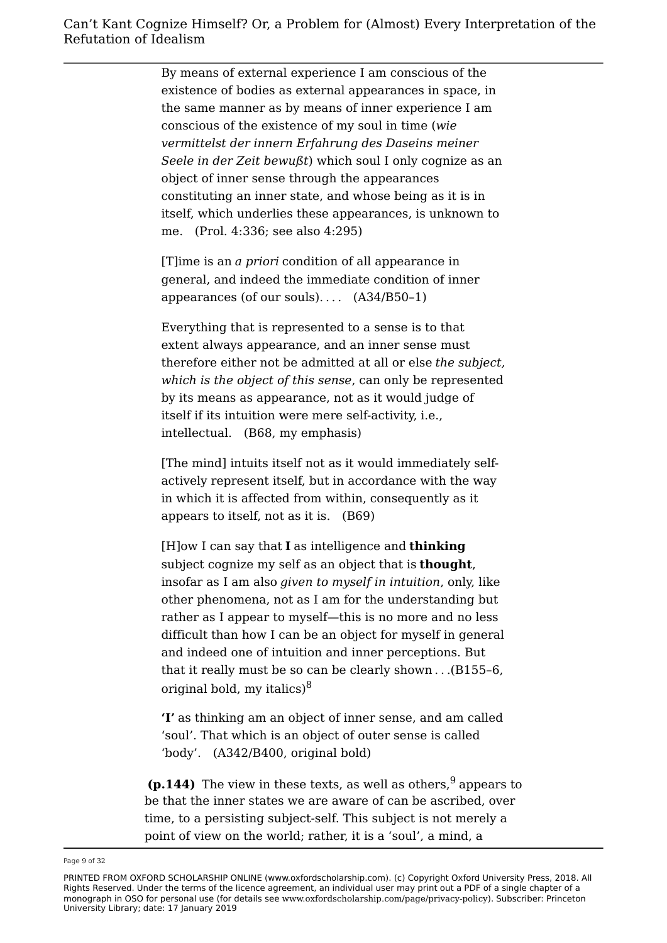By means of external experience I am conscious of the existence of bodies as external appearances in space, in the same manner as by means of inner experience I am conscious of the existence of my soul in time (*wie vermittelst der innern Erfahrung des Daseins meiner Seele in der Zeit bewußt*) which soul I only cognize as an object of inner sense through the appearances constituting an inner state, and whose being as it is in itself, which underlies these appearances, is unknown to me. (Prol. 4:336; see also 4:295)

[T]ime is an *a priori* condition of all appearance in general, and indeed the immediate condition of inner appearances (of our souls). . . . (A34/B50–1)

Everything that is represented to a sense is to that extent always appearance, and an inner sense must therefore either not be admitted at all or else *the subject, which is the object of this sense*, can only be represented by its means as appearance, not as it would judge of itself if its intuition were mere self-activity, i.e., intellectual. (B68, my emphasis)

[The mind] intuits itself not as it would immediately selfactively represent itself, but in accordance with the way in which it is affected from within, consequently as it appears to itself, not as it is. (B69)

[H]ow I can say that **I** as intelligence and **thinking** subject cognize my self as an object that is **thought**, insofar as I am also *given to myself in intuition*, only, like other phenomena, not as I am for the understanding but rather as I appear to myself—this is no more and no less difficult than how I can be an object for myself in general and indeed one of intuition and inner perceptions. But that it really must be so can be clearly shown . . .(B155–6, original bold, my italics) $8^8$ 

**'I'** as thinking am an object of inner sense, and am called 'soul'. That which is an object of outer sense is called 'body'. (A342/B400, original bold)

**(p.144)** The view in these texts, as well as others,  $9^9$  appears to be that the inner states we are aware of can be ascribed, over time, to a persisting subject-self. This subject is not merely a point of view on the world; rather, it is a 'soul', a mind, a

Page 9 of 32

PRINTED FROM OXFORD SCHOLARSHIP ONLINE (www.oxfordscholarship.com). (c) Copyright Oxford University Press, 2018. All Rights Reserved. Under the terms of the licence agreement, an individual user may print out a PDF of a single chapter of a monograph in OSO for personal use (for details see www.oxfordscholarship.com/page/privacy-policy). Subscriber: Princeton University Library; date: 17 January 2019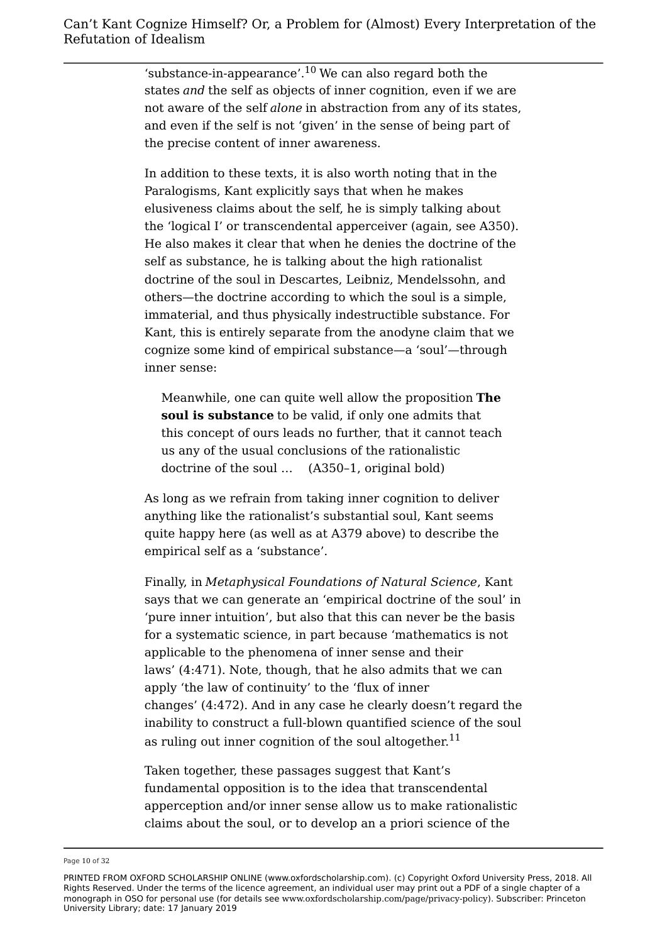'substance-in-appearance'.<sup>10</sup> We can also regard both the states *and* the self as objects of inner cognition, even if we are not aware of the self *alone* in abstraction from any of its states, and even if the self is not 'given' in the sense of being part of the precise content of inner awareness.

In addition to these texts, it is also worth noting that in the Paralogisms, Kant explicitly says that when he makes elusiveness claims about the self, he is simply talking about the 'logical I' or transcendental apperceiver (again, see A350). He also makes it clear that when he denies the doctrine of the self as substance, he is talking about the high rationalist doctrine of the soul in Descartes, Leibniz, Mendelssohn, and others—the doctrine according to which the soul is a simple, immaterial, and thus physically indestructible substance. For Kant, this is entirely separate from the anodyne claim that we cognize some kind of empirical substance—a 'soul'—through inner sense:

Meanwhile, one can quite well allow the proposition **The soul is substance** to be valid, if only one admits that this concept of ours leads no further, that it cannot teach us any of the usual conclusions of the rationalistic doctrine of the soul … (A350–1, original bold)

As long as we refrain from taking inner cognition to deliver anything like the rationalist's substantial soul, Kant seems quite happy here (as well as at A379 above) to describe the empirical self as a 'substance'.

Finally, in *Metaphysical Foundations of Natural Science*, Kant says that we can generate an 'empirical doctrine of the soul' in 'pure inner intuition', but also that this can never be the basis for a systematic science, in part because 'mathematics is not applicable to the phenomena of inner sense and their laws' (4:471). Note, though, that he also admits that we can apply 'the law of continuity' to the 'flux of inner changes' (4:472). And in any case he clearly doesn't regard the inability to construct a full-blown quantified science of the soul as ruling out inner cognition of the soul altogether.<sup>11</sup>

Taken together, these passages suggest that Kant's fundamental opposition is to the idea that transcendental apperception and/or inner sense allow us to make rationalistic claims about the soul, or to develop an a priori science of the

Page 10 of 32

PRINTED FROM OXFORD SCHOLARSHIP ONLINE (www.oxfordscholarship.com). (c) Copyright Oxford University Press, 2018. All Rights Reserved. Under the terms of the licence agreement, an individual user may print out a PDF of a single chapter of a monograph in OSO for personal use (for details see www.oxfordscholarship.com/page/privacy-policy). Subscriber: Princeton University Library; date: 17 January 2019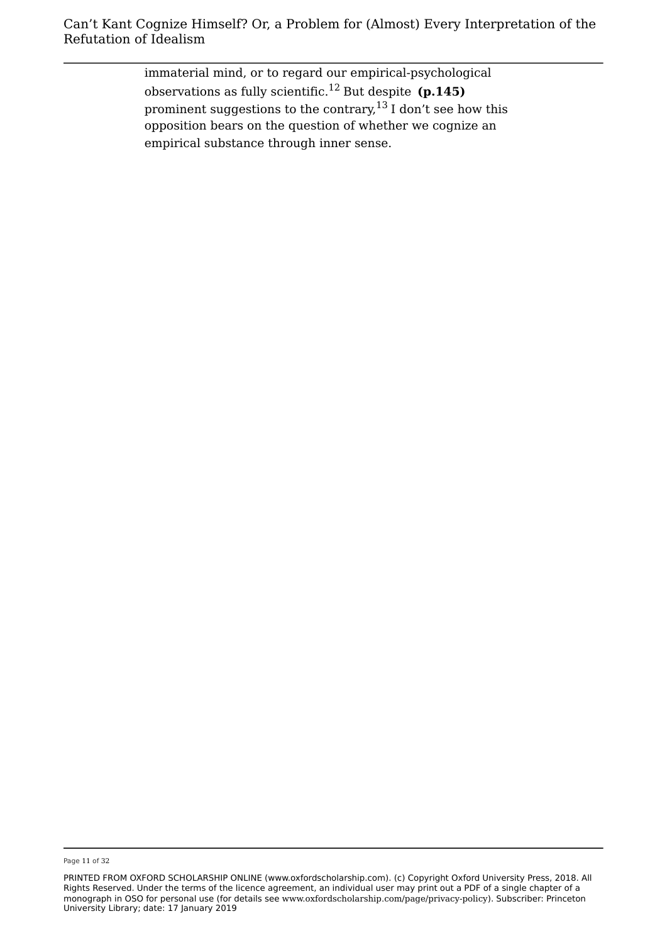immaterial mind, or to regard our empirical-psychological observations as fully scientific.<sup>12</sup> But despite **(p.145)** prominent suggestions to the contrary,  $\frac{13}{1}$  don't see how this opposition bears on the question of whether we cognize an empirical substance through inner sense.

Page 11 of 32

PRINTED FROM OXFORD SCHOLARSHIP ONLINE (www.oxfordscholarship.com). (c) Copyright Oxford University Press, 2018. All Rights Reserved. Under the terms of the licence agreement, an individual user may print out a PDF of a single chapter of a monograph in OSO for personal use (for details see www.oxfordscholarship.com/page/privacy-policy). Subscriber: Princeton University Library; date: 17 January 2019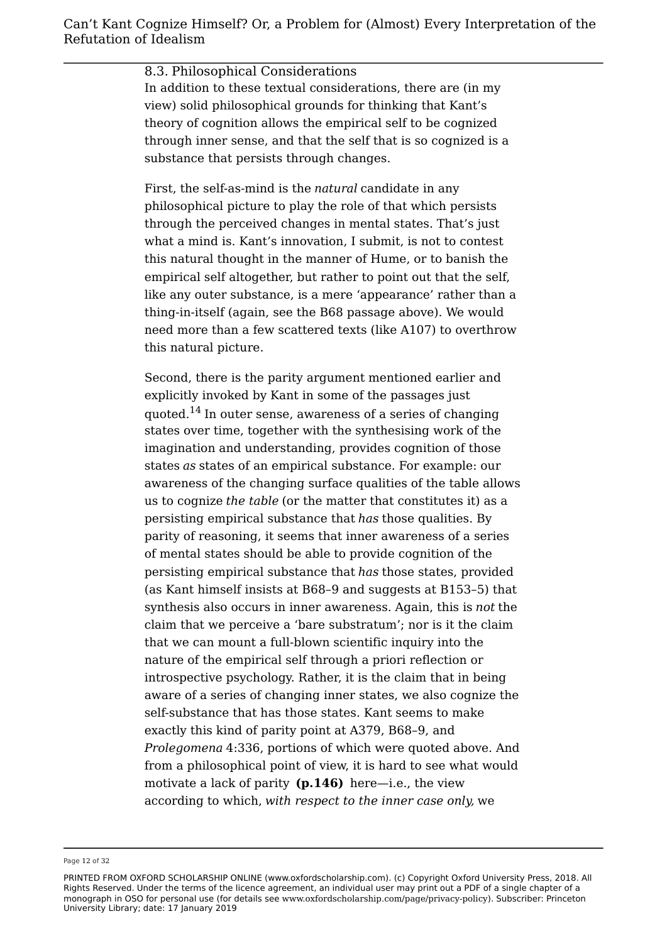8.3. Philosophical Considerations In addition to these textual considerations, there are (in my view) solid philosophical grounds for thinking that Kant's theory of cognition allows the empirical self to be cognized through inner sense, and that the self that is so cognized is a substance that persists through changes.

First, the self-as-mind is the *natural* candidate in any philosophical picture to play the role of that which persists through the perceived changes in mental states. That's just what a mind is. Kant's innovation, I submit, is not to contest this natural thought in the manner of Hume, or to banish the empirical self altogether, but rather to point out that the self, like any outer substance, is a mere 'appearance' rather than a thing-in-itself (again, see the B68 passage above). We would need more than a few scattered texts (like A107) to overthrow this natural picture.

Second, there is the parity argument mentioned earlier and explicitly invoked by Kant in some of the passages just quoted.<sup>14</sup> In outer sense, awareness of a series of changing states over time, together with the synthesising work of the imagination and understanding, provides cognition of those states *as* states of an empirical substance. For example: our awareness of the changing surface qualities of the table allows us to cognize *the table* (or the matter that constitutes it) as a persisting empirical substance that *has* those qualities. By parity of reasoning, it seems that inner awareness of a series of mental states should be able to provide cognition of the persisting empirical substance that *has* those states, provided (as Kant himself insists at B68–9 and suggests at B153–5) that synthesis also occurs in inner awareness. Again, this is *not* the claim that we perceive a 'bare substratum'; nor is it the claim that we can mount a full-blown scientific inquiry into the nature of the empirical self through a priori reflection or introspective psychology. Rather, it is the claim that in being aware of a series of changing inner states, we also cognize the self-substance that has those states. Kant seems to make exactly this kind of parity point at A379, B68–9, and *Prolegomena* 4:336, portions of which were quoted above. And from a philosophical point of view, it is hard to see what would motivate a lack of parity **(p.146)** here—i.e., the view according to which, *with respect to the inner case only,* we

Page 12 of 32

PRINTED FROM OXFORD SCHOLARSHIP ONLINE (www.oxfordscholarship.com). (c) Copyright Oxford University Press, 2018. All Rights Reserved. Under the terms of the licence agreement, an individual user may print out a PDF of a single chapter of a monograph in OSO for personal use (for details see www.oxfordscholarship.com/page/privacy-policy). Subscriber: Princeton University Library; date: 17 January 2019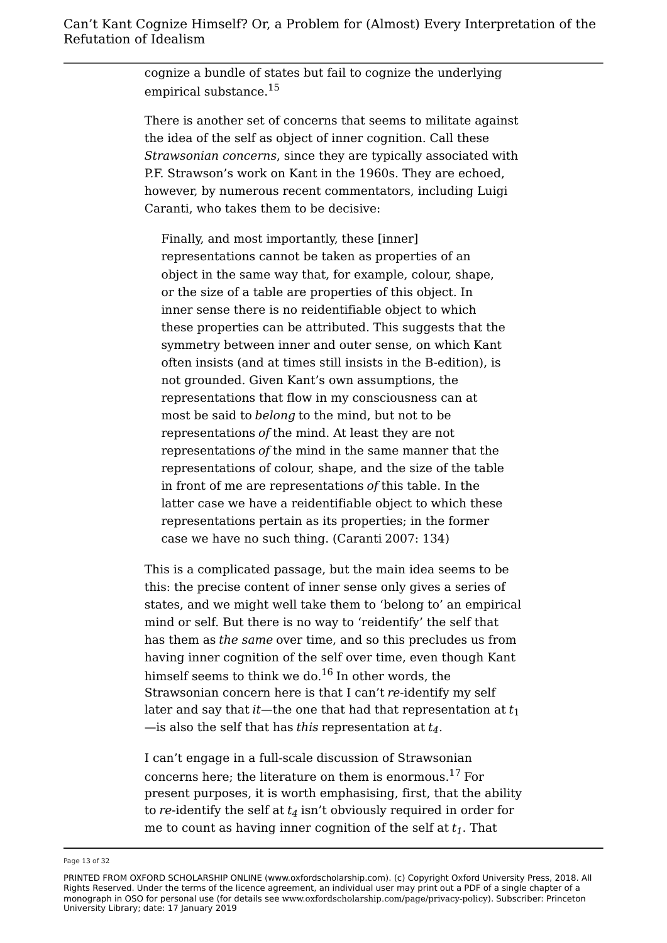cognize a bundle of states but fail to cognize the underlying empirical substance.<sup>15</sup>

There is another set of concerns that seems to militate against the idea of the self as object of inner cognition. Call these *Strawsonian concerns*, since they are typically associated with P.F. Strawson's work on Kant in the 1960s. They are echoed, however, by numerous recent commentators, including Luigi Caranti, who takes them to be decisive:

Finally, and most importantly, these [inner] representations cannot be taken as properties of an object in the same way that, for example, colour, shape, or the size of a table are properties of this object. In inner sense there is no reidentifiable object to which these properties can be attributed. This suggests that the symmetry between inner and outer sense, on which Kant often insists (and at times still insists in the B-edition), is not grounded. Given Kant's own assumptions, the representations that flow in my consciousness can at most be said to *belong* to the mind, but not to be representations *of* the mind. At least they are not representations *of* the mind in the same manner that the representations of colour, shape, and the size of the table in front of me are representations *of* this table. In the latter case we have a reidentifiable object to which these representations pertain as its properties; in the former case we have no such thing. (Caranti 2007: 134)

This is a complicated passage, but the main idea seems to be this: the precise content of inner sense only gives a series of states, and we might well take them to 'belong to' an empirical mind or self. But there is no way to 'reidentify' the self that has them as *the same* over time, and so this precludes us from having inner cognition of the self over time, even though Kant himself seems to think we do.<sup>16</sup> In other words, the Strawsonian concern here is that I can't *re*-identify my self later and say that  $it$ —the one that had that representation at  $t_1$ —is also the self that has *this* representation at *t4*.

I can't engage in a full-scale discussion of Strawsonian concerns here; the literature on them is enormous.<sup>17</sup> For present purposes, it is worth emphasising, first, that the ability to *re*-identify the self at *t<sup>4</sup>* isn't obviously required in order for me to count as having inner cognition of the self at *t1*. That

Page 13 of 32

PRINTED FROM OXFORD SCHOLARSHIP ONLINE (www.oxfordscholarship.com). (c) Copyright Oxford University Press, 2018. All Rights Reserved. Under the terms of the licence agreement, an individual user may print out a PDF of a single chapter of a monograph in OSO for personal use (for details see www.oxfordscholarship.com/page/privacy-policy). Subscriber: Princeton University Library; date: 17 January 2019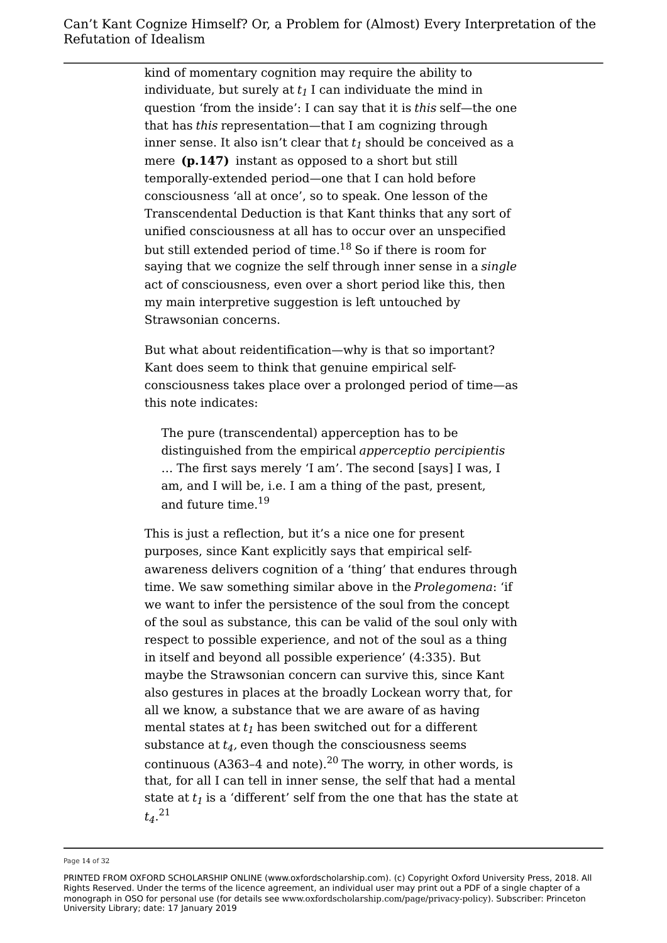kind of momentary cognition may require the ability to individuate, but surely at  $t_1$  I can individuate the mind in question 'from the inside': I can say that it is *this* self—the one that has *this* representation—that I am cognizing through inner sense. It also isn't clear that  $t_1$  should be conceived as a mere **(p.147)** instant as opposed to a short but still temporally-extended period—one that I can hold before consciousness 'all at once', so to speak. One lesson of the Transcendental Deduction is that Kant thinks that any sort of unified consciousness at all has to occur over an unspecified but still extended period of time.<sup>18</sup> So if there is room for saying that we cognize the self through inner sense in a *single* act of consciousness, even over a short period like this, then my main interpretive suggestion is left untouched by Strawsonian concerns.

But what about reidentification—why is that so important? Kant does seem to think that genuine empirical selfconsciousness takes place over a prolonged period of time—as this note indicates:

The pure (transcendental) apperception has to be distinguished from the empirical *apperceptio percipientis* … The first says merely 'I am'. The second [says] I was, I am, and I will be, i.e. I am a thing of the past, present, and future time.<sup>19</sup>

This is just a reflection, but it's a nice one for present purposes, since Kant explicitly says that empirical selfawareness delivers cognition of a 'thing' that endures through time. We saw something similar above in the *Prolegomena*: 'if we want to infer the persistence of the soul from the concept of the soul as substance, this can be valid of the soul only with respect to possible experience, and not of the soul as a thing in itself and beyond all possible experience' (4:335). But maybe the Strawsonian concern can survive this, since Kant also gestures in places at the broadly Lockean worry that, for all we know, a substance that we are aware of as having mental states at *t<sup>1</sup>* has been switched out for a different substance at *t4,* even though the consciousness seems continuous (A363–4 and note).<sup>20</sup> The worry, in other words, is that, for all I can tell in inner sense, the self that had a mental state at  $t_1$  is a 'different' self from the one that has the state at *t4*.<sup>21</sup>

Page 14 of 32

PRINTED FROM OXFORD SCHOLARSHIP ONLINE (www.oxfordscholarship.com). (c) Copyright Oxford University Press, 2018. All Rights Reserved. Under the terms of the licence agreement, an individual user may print out a PDF of a single chapter of a monograph in OSO for personal use (for details see www.oxfordscholarship.com/page/privacy-policy). Subscriber: Princeton University Library; date: 17 January 2019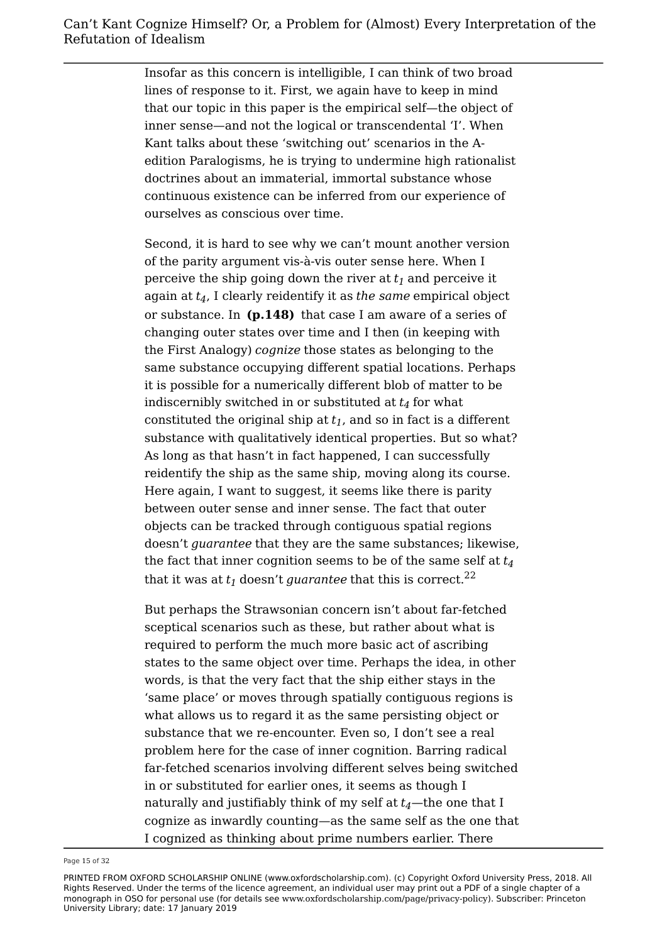Insofar as this concern is intelligible, I can think of two broad lines of response to it. First, we again have to keep in mind that our topic in this paper is the empirical self—the object of inner sense—and not the logical or transcendental 'I'. When Kant talks about these 'switching out' scenarios in the Aedition Paralogisms, he is trying to undermine high rationalist doctrines about an immaterial, immortal substance whose continuous existence can be inferred from our experience of ourselves as conscious over time.

Second, it is hard to see why we can't mount another version of the parity argument vis-à-vis outer sense here. When I perceive the ship going down the river at  $t_1$  and perceive it again at *t4*, I clearly reidentify it as *the same* empirical object or substance. In **(p.148)** that case I am aware of a series of changing outer states over time and I then (in keeping with the First Analogy) *cognize* those states as belonging to the same substance occupying different spatial locations. Perhaps it is possible for a numerically different blob of matter to be indiscernibly switched in or substituted at *t<sup>4</sup>* for what constituted the original ship at *t1*, and so in fact is a different substance with qualitatively identical properties. But so what? As long as that hasn't in fact happened, I can successfully reidentify the ship as the same ship, moving along its course. Here again, I want to suggest, it seems like there is parity between outer sense and inner sense. The fact that outer objects can be tracked through contiguous spatial regions doesn't *guarantee* that they are the same substances; likewise, the fact that inner cognition seems to be of the same self at *t<sup>4</sup>* that it was at  $t_1$  doesn't *guarantee* that this is correct.<sup>22</sup>

But perhaps the Strawsonian concern isn't about far-fetched sceptical scenarios such as these, but rather about what is required to perform the much more basic act of ascribing states to the same object over time. Perhaps the idea, in other words, is that the very fact that the ship either stays in the 'same place' or moves through spatially contiguous regions is what allows us to regard it as the same persisting object or substance that we re-encounter. Even so, I don't see a real problem here for the case of inner cognition. Barring radical far-fetched scenarios involving different selves being switched in or substituted for earlier ones, it seems as though I naturally and justifiably think of my self at *t4*—the one that I cognize as inwardly counting—as the same self as the one that I cognized as thinking about prime numbers earlier. There

Page 15 of 32

PRINTED FROM OXFORD SCHOLARSHIP ONLINE (www.oxfordscholarship.com). (c) Copyright Oxford University Press, 2018. All Rights Reserved. Under the terms of the licence agreement, an individual user may print out a PDF of a single chapter of a monograph in OSO for personal use (for details see www.oxfordscholarship.com/page/privacy-policy). Subscriber: Princeton University Library; date: 17 January 2019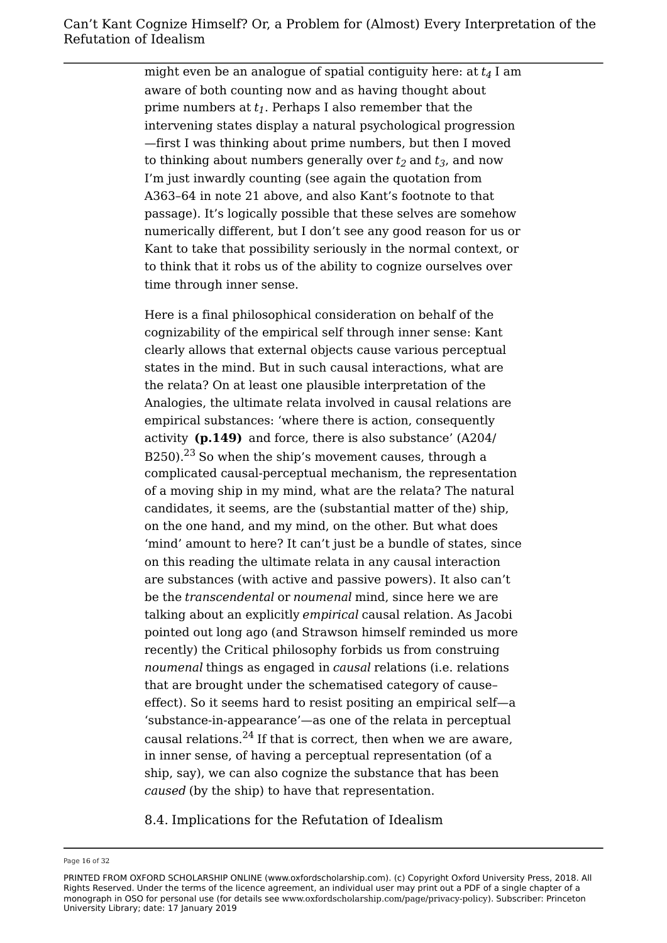might even be an analogue of spatial contiguity here: at *t<sup>4</sup>* I am aware of both counting now and as having thought about prime numbers at *t1*. Perhaps I also remember that the intervening states display a natural psychological progression —first I was thinking about prime numbers, but then I moved to thinking about numbers generally over *t<sup>2</sup>* and *t3*, and now I'm just inwardly counting (see again the quotation from A363–64 in note 21 above, and also Kant's footnote to that passage). It's logically possible that these selves are somehow numerically different, but I don't see any good reason for us or Kant to take that possibility seriously in the normal context, or to think that it robs us of the ability to cognize ourselves over time through inner sense.

Here is a final philosophical consideration on behalf of the cognizability of the empirical self through inner sense: Kant clearly allows that external objects cause various perceptual states in the mind. But in such causal interactions, what are the relata? On at least one plausible interpretation of the Analogies, the ultimate relata involved in causal relations are empirical substances: 'where there is action, consequently activity **(p.149)** and force, there is also substance' (A204/  $B250$ ).<sup>23</sup> So when the ship's movement causes, through a complicated causal-perceptual mechanism, the representation of a moving ship in my mind, what are the relata? The natural candidates, it seems, are the (substantial matter of the) ship, on the one hand, and my mind, on the other. But what does 'mind' amount to here? It can't just be a bundle of states, since on this reading the ultimate relata in any causal interaction are substances (with active and passive powers). It also can't be the *transcendental* or *noumenal* mind, since here we are talking about an explicitly *empirical* causal relation. As Jacobi pointed out long ago (and Strawson himself reminded us more recently) the Critical philosophy forbids us from construing *noumenal* things as engaged in *causal* relations (i.e. relations that are brought under the schematised category of cause– effect). So it seems hard to resist positing an empirical self—a 'substance-in-appearance'—as one of the relata in perceptual causal relations.<sup>24</sup> If that is correct, then when we are aware, in inner sense, of having a perceptual representation (of a ship, say), we can also cognize the substance that has been *caused* (by the ship) to have that representation.

8.4. Implications for the Refutation of Idealism

Page 16 of 32

PRINTED FROM OXFORD SCHOLARSHIP ONLINE (www.oxfordscholarship.com). (c) Copyright Oxford University Press, 2018. All Rights Reserved. Under the terms of the licence agreement, an individual user may print out a PDF of a single chapter of a monograph in OSO for personal use (for details see www.oxfordscholarship.com/page/privacy-policy). Subscriber: Princeton University Library; date: 17 January 2019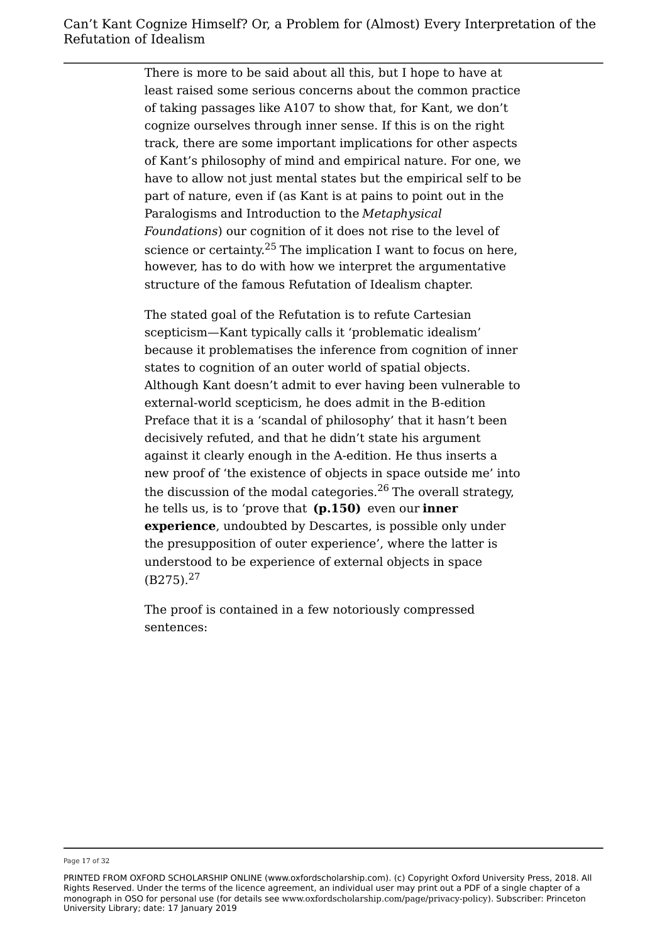There is more to be said about all this, but I hope to have at least raised some serious concerns about the common practice of taking passages like A107 to show that, for Kant, we don't cognize ourselves through inner sense. If this is on the right track, there are some important implications for other aspects of Kant's philosophy of mind and empirical nature. For one, we have to allow not just mental states but the empirical self to be part of nature, even if (as Kant is at pains to point out in the Paralogisms and Introduction to the *Metaphysical Foundations*) our cognition of it does not rise to the level of science or certainty.<sup>25</sup> The implication I want to focus on here, however, has to do with how we interpret the argumentative structure of the famous Refutation of Idealism chapter.

The stated goal of the Refutation is to refute Cartesian scepticism—Kant typically calls it 'problematic idealism' because it problematises the inference from cognition of inner states to cognition of an outer world of spatial objects. Although Kant doesn't admit to ever having been vulnerable to external-world scepticism, he does admit in the B-edition Preface that it is a 'scandal of philosophy' that it hasn't been decisively refuted, and that he didn't state his argument against it clearly enough in the A-edition. He thus inserts a new proof of 'the existence of objects in space outside me' into the discussion of the modal categories.<sup>26</sup> The overall strategy, he tells us, is to 'prove that **(p.150)** even our **inner experience**, undoubted by Descartes, is possible only under the presupposition of outer experience', where the latter is understood to be experience of external objects in space  $(B275).^{27}$ 

The proof is contained in a few notoriously compressed sentences:

Page 17 of 32

PRINTED FROM OXFORD SCHOLARSHIP ONLINE (www.oxfordscholarship.com). (c) Copyright Oxford University Press, 2018. All Rights Reserved. Under the terms of the licence agreement, an individual user may print out a PDF of a single chapter of a monograph in OSO for personal use (for details see www.oxfordscholarship.com/page/privacy-policy). Subscriber: Princeton University Library; date: 17 January 2019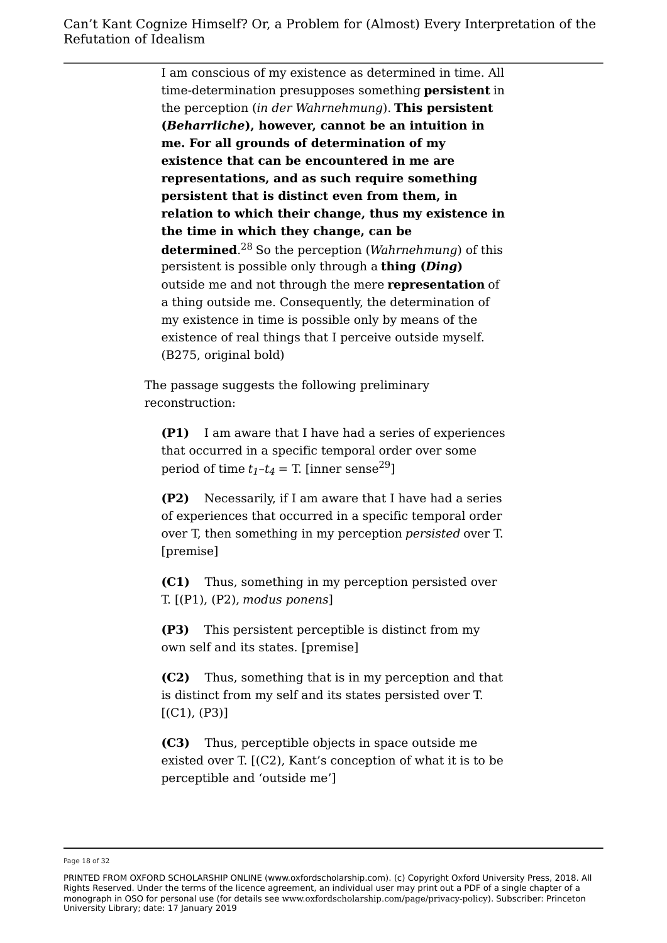I am conscious of my existence as determined in time. All time-determination presupposes something **persistent** in the perception (*in der Wahrnehmung*). **This persistent (***Beharrliche***), however, cannot be an intuition in me. For all grounds of determination of my existence that can be encountered in me are representations, and as such require something persistent that is distinct even from them, in relation to which their change, thus my existence in the time in which they change, can be determined**.<sup>28</sup> So the perception (*Wahrnehmung*) of this persistent is possible only through a **thing (***Ding***)** outside me and not through the mere **representation** of a thing outside me. Consequently, the determination of my existence in time is possible only by means of the existence of real things that I perceive outside myself. (B275, original bold)

The passage suggests the following preliminary reconstruction:

**(P1)** I am aware that I have had a series of experiences that occurred in a specific temporal order over some period of time  $t_1$ <sup>-</sup> $t_4$  = T. [inner sense<sup>29</sup>]

**(P2)** Necessarily, if I am aware that I have had a series of experiences that occurred in a specific temporal order over T, then something in my perception *persisted* over T. [premise]

**(C1)** Thus, something in my perception persisted over T. [(P1), (P2), *modus ponens*]

**(P3)** This persistent perceptible is distinct from my own self and its states. [premise]

**(C2)** Thus, something that is in my perception and that is distinct from my self and its states persisted over T.  $[ (C1), (P3) ]$ 

**(C3)** Thus, perceptible objects in space outside me existed over T. [(C2), Kant's conception of what it is to be perceptible and 'outside me']

Page 18 of 32

PRINTED FROM OXFORD SCHOLARSHIP ONLINE (www.oxfordscholarship.com). (c) Copyright Oxford University Press, 2018. All Rights Reserved. Under the terms of the licence agreement, an individual user may print out a PDF of a single chapter of a monograph in OSO for personal use (for details see www.oxfordscholarship.com/page/privacy-policy). Subscriber: Princeton University Library; date: 17 January 2019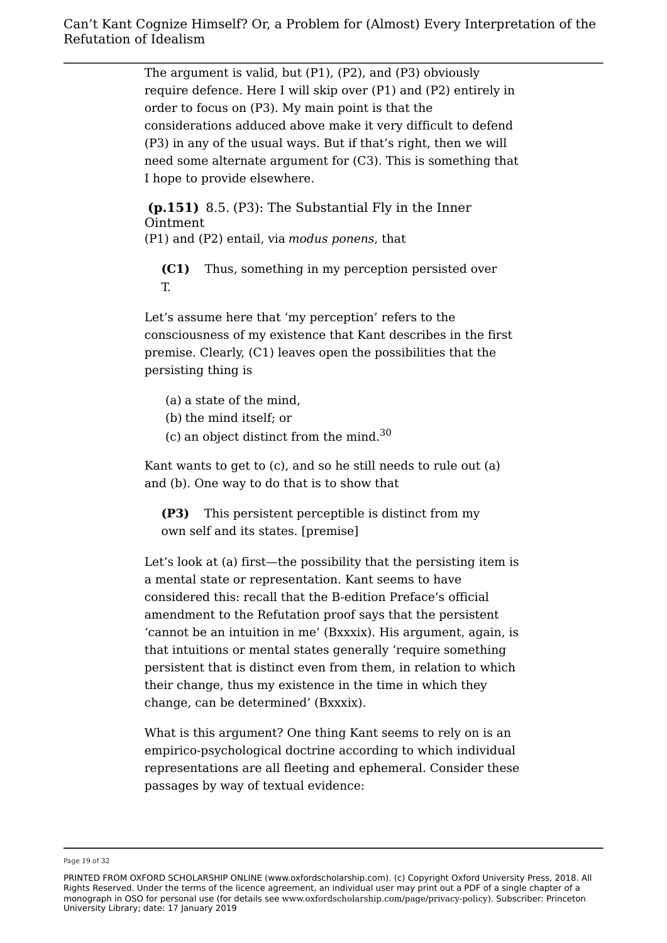The argument is valid, but (P1), (P2), and (P3) obviously require defence. Here I will skip over (P1) and (P2) entirely in order to focus on (P3). My main point is that the considerations adduced above make it very difficult to defend (P3) in any of the usual ways. But if that's right, then we will need some alternate argument for (C3). This is something that I hope to provide elsewhere.

 **(p.151)** 8.5. (P3): The Substantial Fly in the Inner Ointment

(P1) and (P2) entail, via *modus ponens*, that

**(C1)** Thus, something in my perception persisted over T.

Let's assume here that 'my perception' refers to the consciousness of my existence that Kant describes in the first premise. Clearly, (C1) leaves open the possibilities that the persisting thing is

- (a) a state of the mind,
- (b) the mind itself; or
- (c) an object distinct from the mind.<sup>30</sup>

Kant wants to get to (c), and so he still needs to rule out (a) and (b). One way to do that is to show that

**(P3)** This persistent perceptible is distinct from my own self and its states. [premise]

Let's look at (a) first—the possibility that the persisting item is a mental state or representation. Kant seems to have considered this: recall that the B-edition Preface's official amendment to the Refutation proof says that the persistent 'cannot be an intuition in me' (Bxxxix). His argument, again, is that intuitions or mental states generally 'require something persistent that is distinct even from them, in relation to which their change, thus my existence in the time in which they change, can be determined' (Bxxxix).

What is this argument? One thing Kant seems to rely on is an empirico-psychological doctrine according to which individual representations are all fleeting and ephemeral. Consider these passages by way of textual evidence:

Page 19 of 32

PRINTED FROM OXFORD SCHOLARSHIP ONLINE (www.oxfordscholarship.com). (c) Copyright Oxford University Press, 2018. All Rights Reserved. Under the terms of the licence agreement, an individual user may print out a PDF of a single chapter of a monograph in OSO for personal use (for details see www.oxfordscholarship.com/page/privacy-policy). Subscriber: Princeton University Library; date: 17 January 2019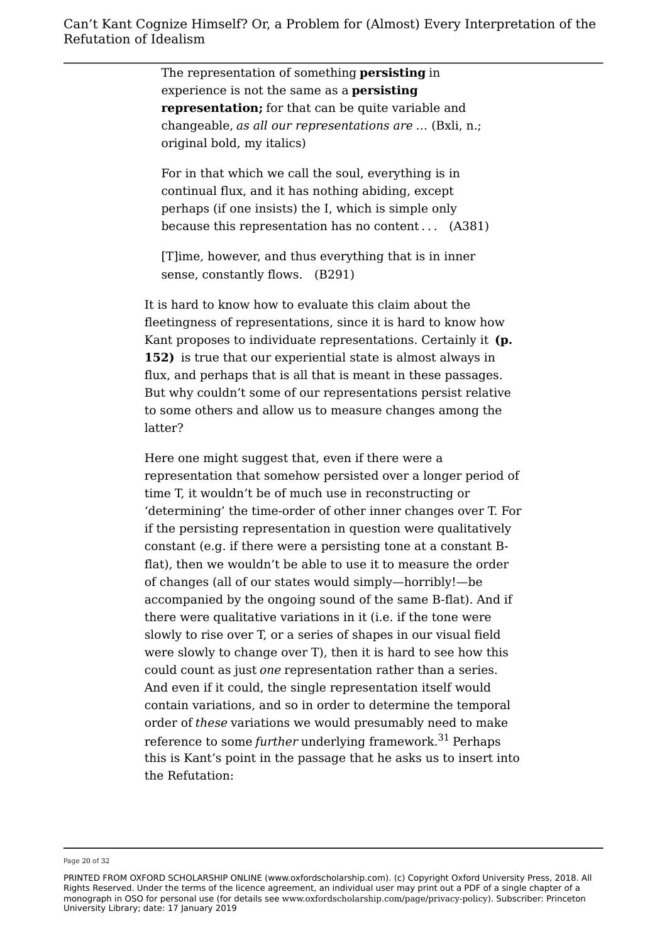The representation of something **persisting** in experience is not the same as a **persisting representation;** for that can be quite variable and changeable, *as all our representations are* … (Bxli, n.; original bold, my italics)

For in that which we call the soul, everything is in continual flux, and it has nothing abiding, except perhaps (if one insists) the I, which is simple only because this representation has no content... (A381)

[T]ime, however, and thus everything that is in inner sense, constantly flows. (B291)

It is hard to know how to evaluate this claim about the fleetingness of representations, since it is hard to know how Kant proposes to individuate representations. Certainly it **(p. 152)** is true that our experiential state is almost always in flux, and perhaps that is all that is meant in these passages. But why couldn't some of our representations persist relative to some others and allow us to measure changes among the latter?

Here one might suggest that, even if there were a representation that somehow persisted over a longer period of time T, it wouldn't be of much use in reconstructing or 'determining' the time-order of other inner changes over T. For if the persisting representation in question were qualitatively constant (e.g. if there were a persisting tone at a constant Bflat), then we wouldn't be able to use it to measure the order of changes (all of our states would simply—horribly!—be accompanied by the ongoing sound of the same B-flat). And if there were qualitative variations in it (i.e. if the tone were slowly to rise over T, or a series of shapes in our visual field were slowly to change over T), then it is hard to see how this could count as just *one* representation rather than a series. And even if it could, the single representation itself would contain variations, and so in order to determine the temporal order of *these* variations we would presumably need to make reference to some *further* underlying framework.<sup>31</sup> Perhaps this is Kant's point in the passage that he asks us to insert into the Refutation:

Page 20 of 32

PRINTED FROM OXFORD SCHOLARSHIP ONLINE (www.oxfordscholarship.com). (c) Copyright Oxford University Press, 2018. All Rights Reserved. Under the terms of the licence agreement, an individual user may print out a PDF of a single chapter of a monograph in OSO for personal use (for details see www.oxfordscholarship.com/page/privacy-policy). Subscriber: Princeton University Library; date: 17 January 2019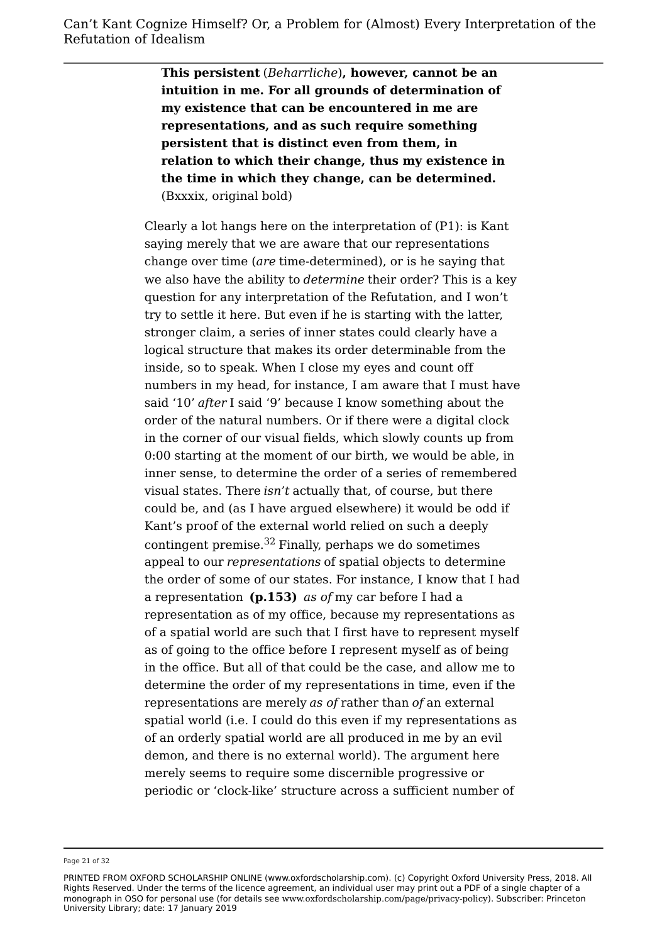**This persistent** (*Beharrliche*)**, however, cannot be an intuition in me. For all grounds of determination of my existence that can be encountered in me are representations, and as such require something persistent that is distinct even from them, in relation to which their change, thus my existence in the time in which they change, can be determined.** (Bxxxix, original bold)

Clearly a lot hangs here on the interpretation of (P1): is Kant saying merely that we are aware that our representations change over time (*are* time-determined), or is he saying that we also have the ability to *determine* their order? This is a key question for any interpretation of the Refutation, and I won't try to settle it here. But even if he is starting with the latter, stronger claim, a series of inner states could clearly have a logical structure that makes its order determinable from the inside, so to speak. When I close my eyes and count off numbers in my head, for instance, I am aware that I must have said '10' *after* I said '9' because I know something about the order of the natural numbers. Or if there were a digital clock in the corner of our visual fields, which slowly counts up from 0:00 starting at the moment of our birth, we would be able, in inner sense, to determine the order of a series of remembered visual states. There *isn't* actually that, of course, but there could be, and (as I have argued elsewhere) it would be odd if Kant's proof of the external world relied on such a deeply contingent premise. $32$  Finally, perhaps we do sometimes appeal to our *representations* of spatial objects to determine the order of some of our states. For instance, I know that I had a representation **(p.153)** *as of* my car before I had a representation as of my office, because my representations as of a spatial world are such that I first have to represent myself as of going to the office before I represent myself as of being in the office. But all of that could be the case, and allow me to determine the order of my representations in time, even if the representations are merely *as of* rather than *of* an external spatial world (i.e. I could do this even if my representations as of an orderly spatial world are all produced in me by an evil demon, and there is no external world). The argument here merely seems to require some discernible progressive or periodic or 'clock-like' structure across a sufficient number of

Page 21 of 32

PRINTED FROM OXFORD SCHOLARSHIP ONLINE (www.oxfordscholarship.com). (c) Copyright Oxford University Press, 2018. All Rights Reserved. Under the terms of the licence agreement, an individual user may print out a PDF of a single chapter of a monograph in OSO for personal use (for details see www.oxfordscholarship.com/page/privacy-policy). Subscriber: Princeton University Library; date: 17 January 2019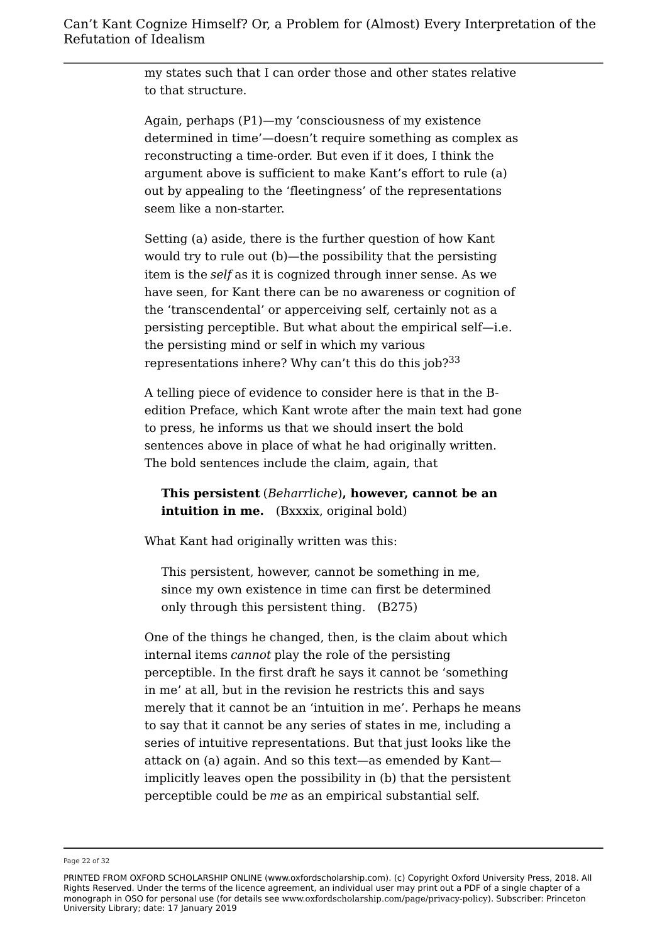my states such that I can order those and other states relative to that structure.

Again, perhaps (P1)—my 'consciousness of my existence determined in time'—doesn't require something as complex as reconstructing a time-order. But even if it does, I think the argument above is sufficient to make Kant's effort to rule (a) out by appealing to the 'fleetingness' of the representations seem like a non-starter.

Setting (a) aside, there is the further question of how Kant would try to rule out (b)—the possibility that the persisting item is the *self* as it is cognized through inner sense. As we have seen, for Kant there can be no awareness or cognition of the 'transcendental' or apperceiving self, certainly not as a persisting perceptible. But what about the empirical self—i.e. the persisting mind or self in which my various representations inhere? Why can't this do this job? $33$ 

A telling piece of evidence to consider here is that in the Bedition Preface, which Kant wrote after the main text had gone to press, he informs us that we should insert the bold sentences above in place of what he had originally written. The bold sentences include the claim, again, that

## **This persistent** (*Beharrliche*)**, however, cannot be an intuition in me.** (Bxxxix, original bold)

What Kant had originally written was this:

This persistent, however, cannot be something in me, since my own existence in time can first be determined only through this persistent thing. (B275)

One of the things he changed, then, is the claim about which internal items *cannot* play the role of the persisting perceptible. In the first draft he says it cannot be 'something in me' at all, but in the revision he restricts this and says merely that it cannot be an 'intuition in me'. Perhaps he means to say that it cannot be any series of states in me, including a series of intuitive representations. But that just looks like the attack on (a) again. And so this text—as emended by Kant implicitly leaves open the possibility in (b) that the persistent perceptible could be *me* as an empirical substantial self.

Page 22 of 32

PRINTED FROM OXFORD SCHOLARSHIP ONLINE (www.oxfordscholarship.com). (c) Copyright Oxford University Press, 2018. All Rights Reserved. Under the terms of the licence agreement, an individual user may print out a PDF of a single chapter of a monograph in OSO for personal use (for details see www.oxfordscholarship.com/page/privacy-policy). Subscriber: Princeton University Library; date: 17 January 2019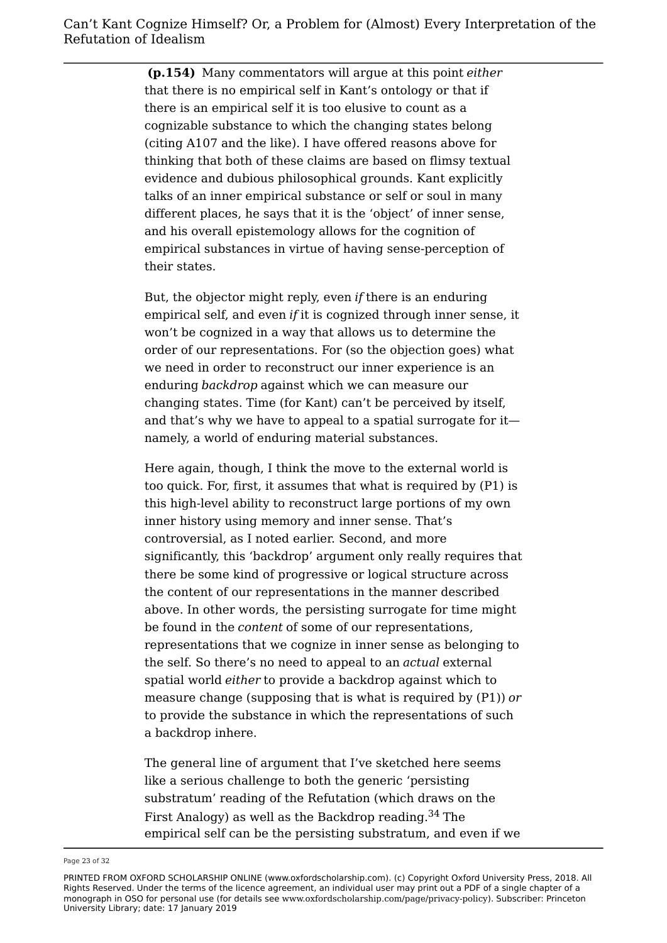**(p.154)** Many commentators will argue at this point *either* that there is no empirical self in Kant's ontology or that if there is an empirical self it is too elusive to count as a cognizable substance to which the changing states belong (citing A107 and the like). I have offered reasons above for thinking that both of these claims are based on flimsy textual evidence and dubious philosophical grounds. Kant explicitly talks of an inner empirical substance or self or soul in many different places, he says that it is the 'object' of inner sense, and his overall epistemology allows for the cognition of empirical substances in virtue of having sense-perception of their states.

But, the objector might reply, even *if* there is an enduring empirical self, and even *if* it is cognized through inner sense, it won't be cognized in a way that allows us to determine the order of our representations. For (so the objection goes) what we need in order to reconstruct our inner experience is an enduring *backdrop* against which we can measure our changing states. Time (for Kant) can't be perceived by itself, and that's why we have to appeal to a spatial surrogate for it namely, a world of enduring material substances.

Here again, though, I think the move to the external world is too quick. For, first, it assumes that what is required by (P1) is this high-level ability to reconstruct large portions of my own inner history using memory and inner sense. That's controversial, as I noted earlier. Second, and more significantly, this 'backdrop' argument only really requires that there be some kind of progressive or logical structure across the content of our representations in the manner described above. In other words, the persisting surrogate for time might be found in the *content* of some of our representations, representations that we cognize in inner sense as belonging to the self. So there's no need to appeal to an *actual* external spatial world *either* to provide a backdrop against which to measure change (supposing that is what is required by (P1)) *or* to provide the substance in which the representations of such a backdrop inhere.

The general line of argument that I've sketched here seems like a serious challenge to both the generic 'persisting substratum' reading of the Refutation (which draws on the First Analogy) as well as the Backdrop reading.<sup>34</sup> The empirical self can be the persisting substratum, and even if we

Page 23 of 32

PRINTED FROM OXFORD SCHOLARSHIP ONLINE (www.oxfordscholarship.com). (c) Copyright Oxford University Press, 2018. All Rights Reserved. Under the terms of the licence agreement, an individual user may print out a PDF of a single chapter of a monograph in OSO for personal use (for details see www.oxfordscholarship.com/page/privacy-policy). Subscriber: Princeton University Library; date: 17 January 2019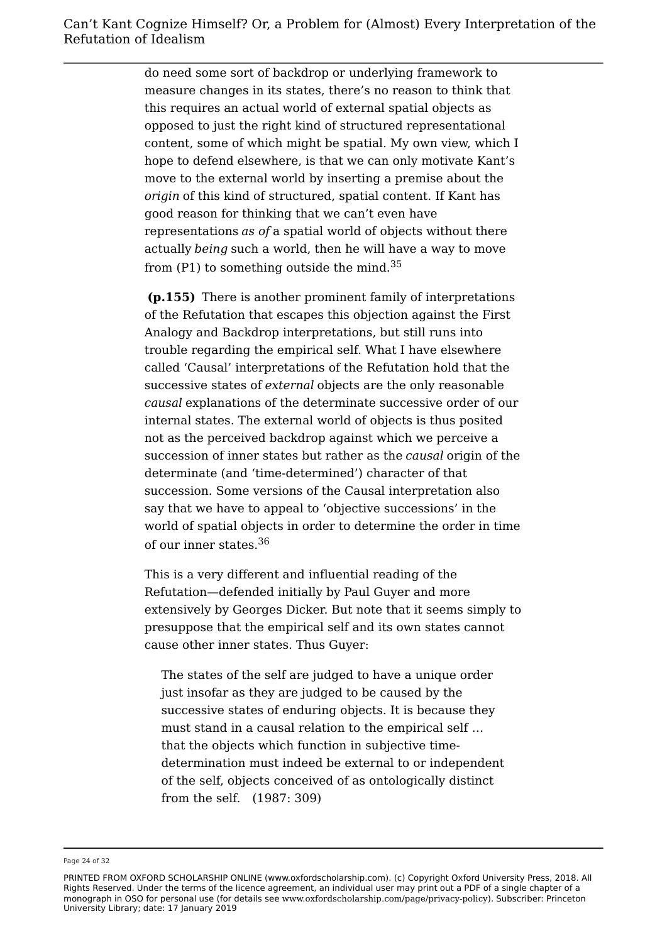do need some sort of backdrop or underlying framework to measure changes in its states, there's no reason to think that this requires an actual world of external spatial objects as opposed to just the right kind of structured representational content, some of which might be spatial. My own view, which I hope to defend elsewhere, is that we can only motivate Kant's move to the external world by inserting a premise about the *origin* of this kind of structured, spatial content. If Kant has good reason for thinking that we can't even have representations *as of* a spatial world of objects without there actually *being* such a world, then he will have a way to move from  $(P1)$  to something outside the mind.<sup>35</sup>

 **(p.155)** There is another prominent family of interpretations of the Refutation that escapes this objection against the First Analogy and Backdrop interpretations, but still runs into trouble regarding the empirical self. What I have elsewhere called 'Causal' interpretations of the Refutation hold that the successive states of *external* objects are the only reasonable *causal* explanations of the determinate successive order of our internal states. The external world of objects is thus posited not as the perceived backdrop against which we perceive a succession of inner states but rather as the *causal* origin of the determinate (and 'time-determined') character of that succession. Some versions of the Causal interpretation also say that we have to appeal to 'objective successions' in the world of spatial objects in order to determine the order in time of our inner states.<sup>36</sup>

This is a very different and influential reading of the Refutation—defended initially by Paul Guyer and more extensively by Georges Dicker. But note that it seems simply to presuppose that the empirical self and its own states cannot cause other inner states. Thus Guyer:

The states of the self are judged to have a unique order just insofar as they are judged to be caused by the successive states of enduring objects. It is because they must stand in a causal relation to the empirical self … that the objects which function in subjective timedetermination must indeed be external to or independent of the self, objects conceived of as ontologically distinct from the self. (1987: 309)

Page 24 of 32

PRINTED FROM OXFORD SCHOLARSHIP ONLINE (www.oxfordscholarship.com). (c) Copyright Oxford University Press, 2018. All Rights Reserved. Under the terms of the licence agreement, an individual user may print out a PDF of a single chapter of a monograph in OSO for personal use (for details see www.oxfordscholarship.com/page/privacy-policy). Subscriber: Princeton University Library; date: 17 January 2019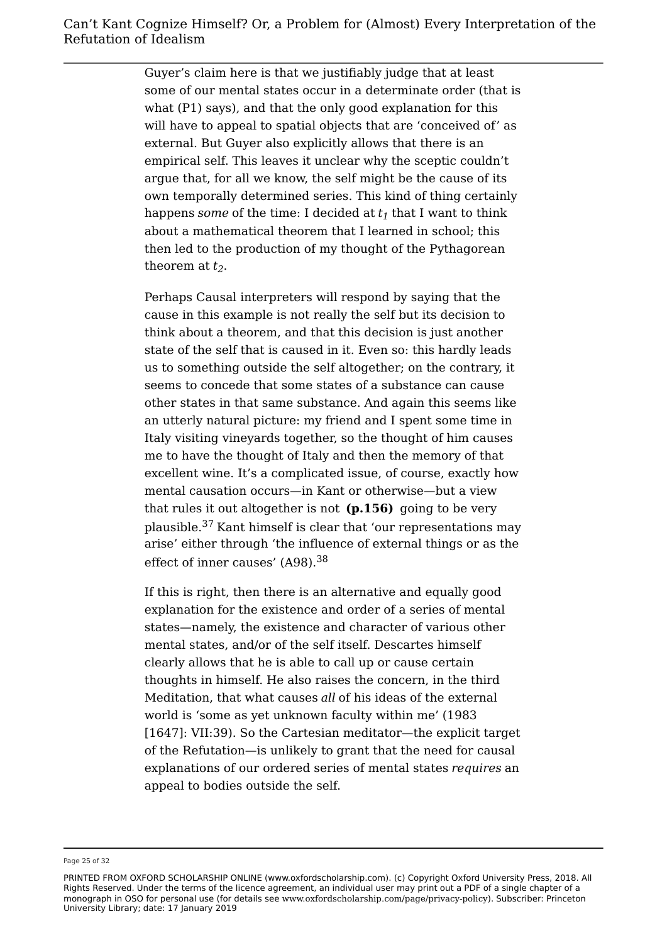Guyer's claim here is that we justifiably judge that at least some of our mental states occur in a determinate order (that is what (P1) says), and that the only good explanation for this will have to appeal to spatial objects that are 'conceived of' as external. But Guyer also explicitly allows that there is an empirical self. This leaves it unclear why the sceptic couldn't argue that, for all we know, the self might be the cause of its own temporally determined series. This kind of thing certainly happens *some* of the time: I decided at *t<sup>1</sup>* that I want to think about a mathematical theorem that I learned in school; this then led to the production of my thought of the Pythagorean theorem at *t2*.

Perhaps Causal interpreters will respond by saying that the cause in this example is not really the self but its decision to think about a theorem, and that this decision is just another state of the self that is caused in it. Even so: this hardly leads us to something outside the self altogether; on the contrary, it seems to concede that some states of a substance can cause other states in that same substance. And again this seems like an utterly natural picture: my friend and I spent some time in Italy visiting vineyards together, so the thought of him causes me to have the thought of Italy and then the memory of that excellent wine. It's a complicated issue, of course, exactly how mental causation occurs—in Kant or otherwise—but a view that rules it out altogether is not **(p.156)** going to be very plausible.<sup>37</sup> Kant himself is clear that 'our representations may arise' either through 'the influence of external things or as the effect of inner causes'  $(A98)$ <sup>38</sup>

If this is right, then there is an alternative and equally good explanation for the existence and order of a series of mental states—namely, the existence and character of various other mental states, and/or of the self itself. Descartes himself clearly allows that he is able to call up or cause certain thoughts in himself. He also raises the concern, in the third Meditation, that what causes *all* of his ideas of the external world is 'some as yet unknown faculty within me' (1983 [1647]: VII:39). So the Cartesian meditator—the explicit target of the Refutation—is unlikely to grant that the need for causal explanations of our ordered series of mental states *requires* an appeal to bodies outside the self.

Page 25 of 32

PRINTED FROM OXFORD SCHOLARSHIP ONLINE (www.oxfordscholarship.com). (c) Copyright Oxford University Press, 2018. All Rights Reserved. Under the terms of the licence agreement, an individual user may print out a PDF of a single chapter of a monograph in OSO for personal use (for details see www.oxfordscholarship.com/page/privacy-policy). Subscriber: Princeton University Library; date: 17 January 2019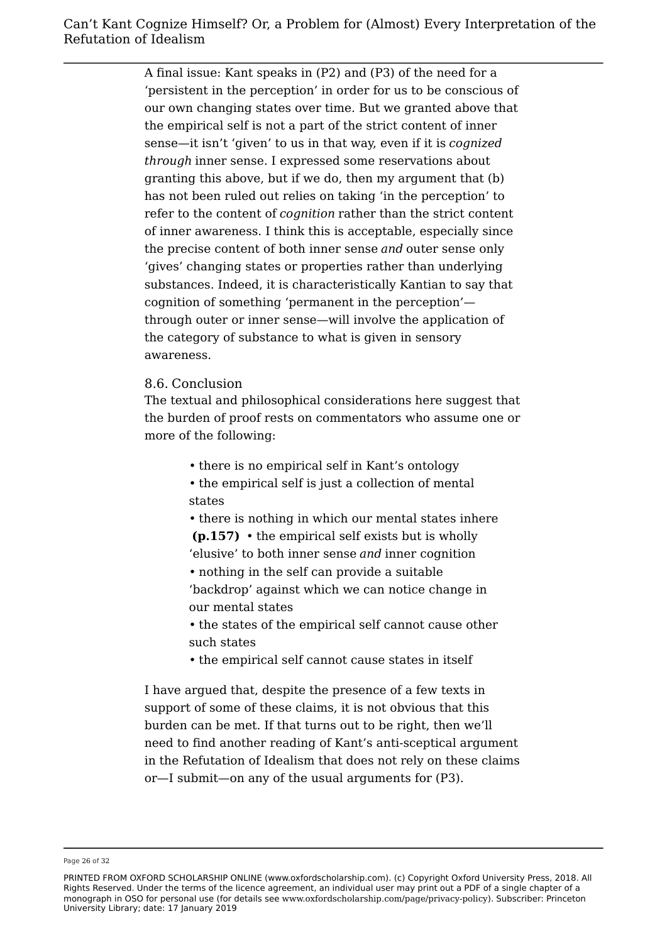A final issue: Kant speaks in (P2) and (P3) of the need for a 'persistent in the perception' in order for us to be conscious of our own changing states over time. But we granted above that the empirical self is not a part of the strict content of inner sense—it isn't 'given' to us in that way, even if it is *cognized through* inner sense. I expressed some reservations about granting this above, but if we do, then my argument that (b) has not been ruled out relies on taking 'in the perception' to refer to the content of *cognition* rather than the strict content of inner awareness. I think this is acceptable, especially since the precise content of both inner sense *and* outer sense only 'gives' changing states or properties rather than underlying substances. Indeed, it is characteristically Kantian to say that cognition of something 'permanent in the perception' through outer or inner sense—will involve the application of the category of substance to what is given in sensory awareness.

#### 8.6. Conclusion

The textual and philosophical considerations here suggest that the burden of proof rests on commentators who assume one or more of the following:

- there is no empirical self in Kant's ontology
- the empirical self is just a collection of mental states

• there is nothing in which our mental states inhere **(p.157)** • the empirical self exists but is wholly 'elusive' to both inner sense *and* inner cognition • nothing in the self can provide a suitable 'backdrop' against which we can notice change in our mental states

• the states of the empirical self cannot cause other such states

• the empirical self cannot cause states in itself

I have argued that, despite the presence of a few texts in support of some of these claims, it is not obvious that this burden can be met. If that turns out to be right, then we'll need to find another reading of Kant's anti-sceptical argument in the Refutation of Idealism that does not rely on these claims or—I submit—on any of the usual arguments for (P3).

Page 26 of 32

PRINTED FROM OXFORD SCHOLARSHIP ONLINE (www.oxfordscholarship.com). (c) Copyright Oxford University Press, 2018. All Rights Reserved. Under the terms of the licence agreement, an individual user may print out a PDF of a single chapter of a monograph in OSO for personal use (for details see www.oxfordscholarship.com/page/privacy-policy). Subscriber: Princeton University Library; date: 17 January 2019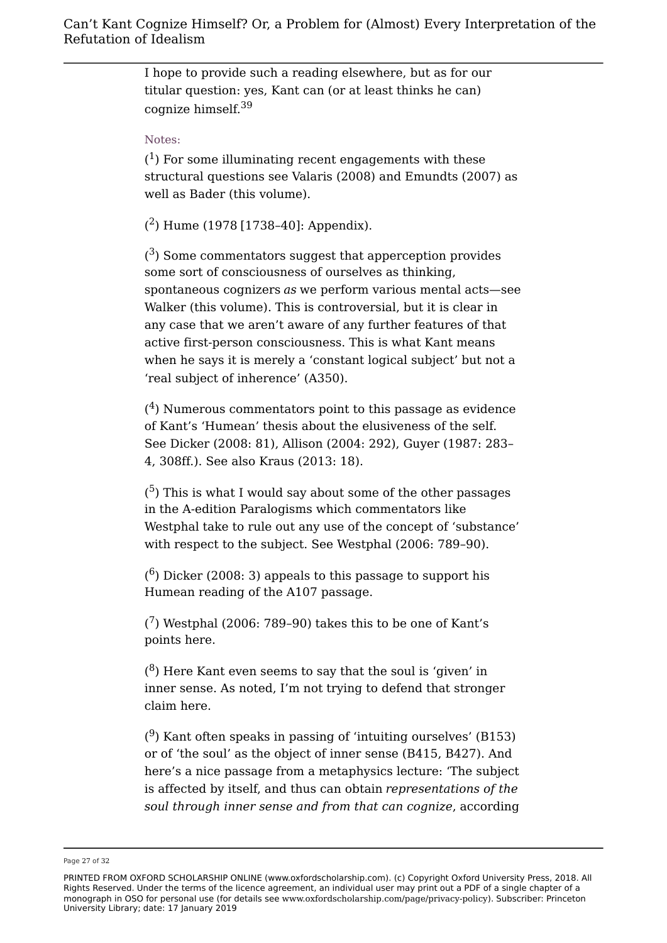I hope to provide such a reading elsewhere, but as for our titular question: yes, Kant can (or at least thinks he can) cognize himself.<sup>39</sup>

#### Notes:

 $(1)$  For some illuminating recent engagements with these structural questions see Valaris (2008) and Emundts (2007) as well as Bader (this volume).

(<sup>2</sup> ) Hume (1978 [1738–40]: Appendix).

 $(3)$  Some commentators suggest that apperception provides some sort of consciousness of ourselves as thinking, spontaneous cognizers *as* we perform various mental acts—see Walker (this volume). This is controversial, but it is clear in any case that we aren't aware of any further features of that active first-person consciousness. This is what Kant means when he says it is merely a 'constant logical subject' but not a 'real subject of inherence' (A350).

(<sup>4</sup> ) Numerous commentators point to this passage as evidence of Kant's 'Humean' thesis about the elusiveness of the self. See Dicker (2008: 81), Allison (2004: 292), Guyer (1987: 283– 4, 308ff.). See also Kraus (2013: 18).

 $(5)$  This is what I would say about some of the other passages in the A-edition Paralogisms which commentators like Westphal take to rule out any use of the concept of 'substance' with respect to the subject. See Westphal (2006: 789–90).

 $(6)$  Dicker (2008: 3) appeals to this passage to support his Humean reading of the A107 passage.

 $(7)$  Westphal (2006: 789–90) takes this to be one of Kant's points here.

 $(8)$  Here Kant even seems to say that the soul is 'given' in inner sense. As noted, I'm not trying to defend that stronger claim here.

 $(9)$  Kant often speaks in passing of 'intuiting ourselves' (B153) or of 'the soul' as the object of inner sense (B415, B427). And here's a nice passage from a metaphysics lecture: 'The subject is affected by itself, and thus can obtain *representations of the soul through inner sense and from that can cognize*, according

Page 27 of 32

PRINTED FROM OXFORD SCHOLARSHIP ONLINE (www.oxfordscholarship.com). (c) Copyright Oxford University Press, 2018. All Rights Reserved. Under the terms of the licence agreement, an individual user may print out a PDF of a single chapter of a monograph in OSO for personal use (for details see www.oxfordscholarship.com/page/privacy-policy). Subscriber: Princeton University Library; date: 17 January 2019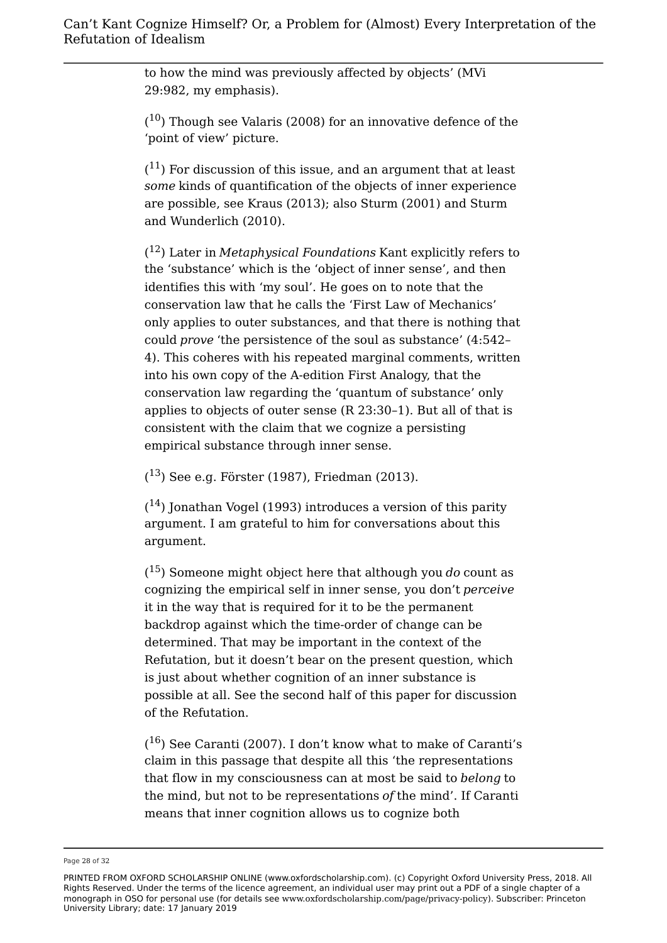to how the mind was previously affected by objects' (MVi 29:982, my emphasis).

 $(10)$  Though see Valaris (2008) for an innovative defence of the 'point of view' picture.

 $(11)$  For discussion of this issue, and an argument that at least *some* kinds of quantification of the objects of inner experience are possible, see Kraus (2013); also Sturm (2001) and Sturm and Wunderlich (2010).

(12) Later in *Metaphysical Foundations* Kant explicitly refers to the 'substance' which is the 'object of inner sense', and then identifies this with 'my soul'. He goes on to note that the conservation law that he calls the 'First Law of Mechanics' only applies to outer substances, and that there is nothing that could *prove* 'the persistence of the soul as substance' (4:542– 4). This coheres with his repeated marginal comments, written into his own copy of the A-edition First Analogy, that the conservation law regarding the 'quantum of substance' only applies to objects of outer sense (R 23:30–1). But all of that is consistent with the claim that we cognize a persisting empirical substance through inner sense.

 $(13)$  See e.g. Förster (1987), Friedman (2013).

 $(14)$  Jonathan Vogel (1993) introduces a version of this parity argument. I am grateful to him for conversations about this argument.

(15) Someone might object here that although you *do* count as cognizing the empirical self in inner sense, you don't *perceive* it in the way that is required for it to be the permanent backdrop against which the time-order of change can be determined. That may be important in the context of the Refutation, but it doesn't bear on the present question, which is just about whether cognition of an inner substance is possible at all. See the second half of this paper for discussion of the Refutation.

 $(16)$  See Caranti (2007). I don't know what to make of Caranti's claim in this passage that despite all this 'the representations that flow in my consciousness can at most be said to *belong* to the mind, but not to be representations *of* the mind'. If Caranti means that inner cognition allows us to cognize both

Page 28 of 32

PRINTED FROM OXFORD SCHOLARSHIP ONLINE (www.oxfordscholarship.com). (c) Copyright Oxford University Press, 2018. All Rights Reserved. Under the terms of the licence agreement, an individual user may print out a PDF of a single chapter of a monograph in OSO for personal use (for details see www.oxfordscholarship.com/page/privacy-policy). Subscriber: Princeton University Library; date: 17 January 2019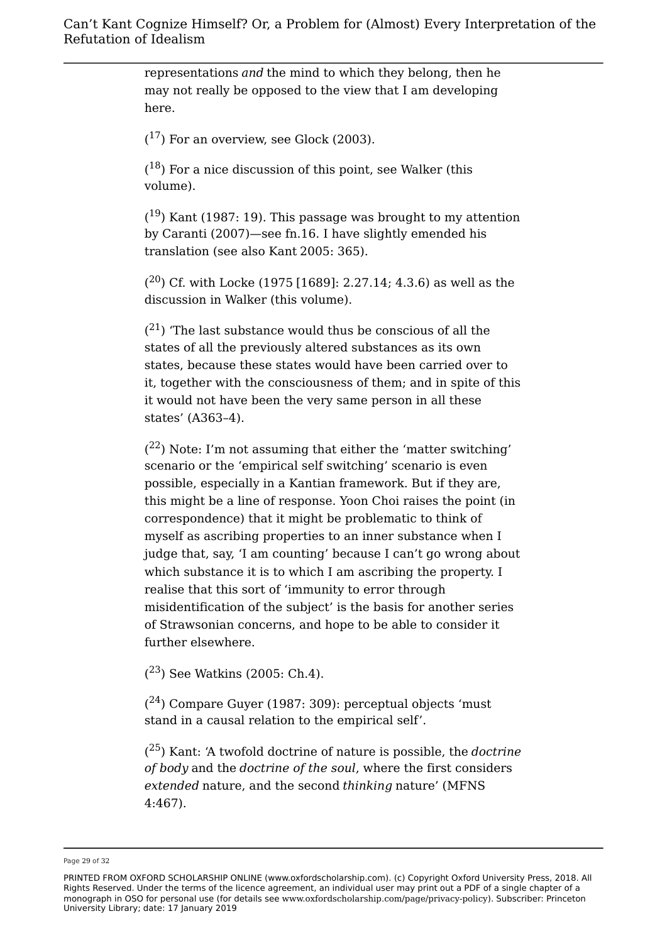representations *and* the mind to which they belong, then he may not really be opposed to the view that I am developing here.

 $(17)$  For an overview, see Glock (2003).

 $(18)$  For a nice discussion of this point, see Walker (this volume).

 $(19)$  Kant (1987: 19). This passage was brought to my attention by Caranti (2007)—see fn.16. I have slightly emended his translation (see also Kant 2005: 365).

 $(20)$  Cf. with Locke (1975 [1689]: 2.27.14; 4.3.6) as well as the discussion in Walker (this volume).

 $(21)$  'The last substance would thus be conscious of all the states of all the previously altered substances as its own states, because these states would have been carried over to it, together with the consciousness of them; and in spite of this it would not have been the very same person in all these states' (A363–4).

 $(2^2)$  Note: I'm not assuming that either the 'matter switching' scenario or the 'empirical self switching' scenario is even possible, especially in a Kantian framework. But if they are, this might be a line of response. Yoon Choi raises the point (in correspondence) that it might be problematic to think of myself as ascribing properties to an inner substance when I judge that, say, 'I am counting' because I can't go wrong about which substance it is to which I am ascribing the property. I realise that this sort of 'immunity to error through misidentification of the subject' is the basis for another series of Strawsonian concerns, and hope to be able to consider it further elsewhere.

 $(23)$  See Watkins (2005: Ch.4).

 $(24)$  Compare Guyer (1987: 309): perceptual objects 'must stand in a causal relation to the empirical self'.

(25) Kant: 'A twofold doctrine of nature is possible, the *doctrine of body* and the *doctrine of the soul*, where the first considers *extended* nature, and the second *thinking* nature' (MFNS 4:467).

Page 29 of 32

PRINTED FROM OXFORD SCHOLARSHIP ONLINE (www.oxfordscholarship.com). (c) Copyright Oxford University Press, 2018. All Rights Reserved. Under the terms of the licence agreement, an individual user may print out a PDF of a single chapter of a monograph in OSO for personal use (for details see www.oxfordscholarship.com/page/privacy-policy). Subscriber: Princeton University Library; date: 17 January 2019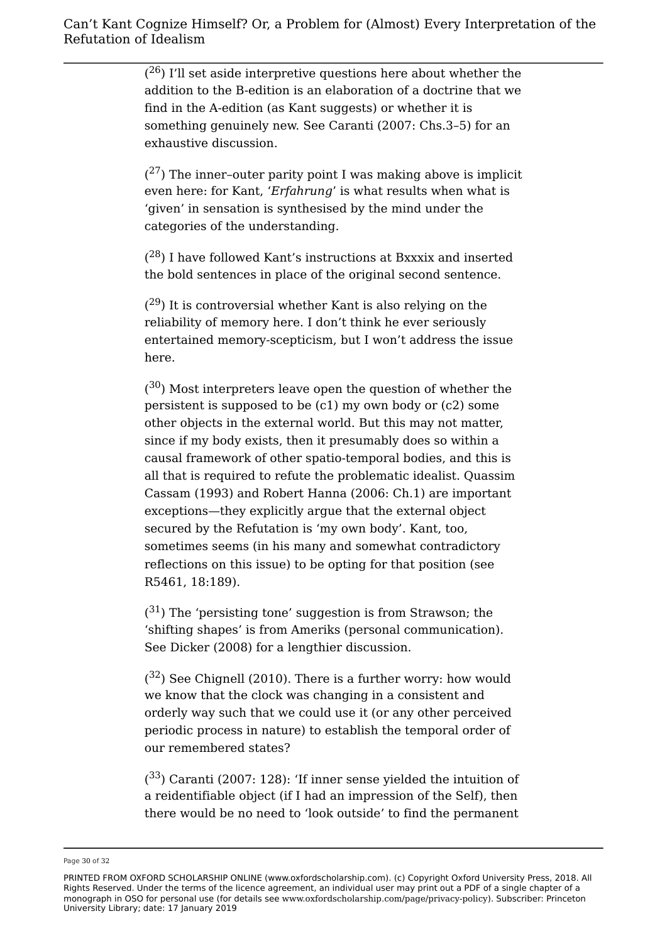$(26)$  I'll set aside interpretive questions here about whether the addition to the B-edition is an elaboration of a doctrine that we find in the A-edition (as Kant suggests) or whether it is something genuinely new. See Caranti (2007: Chs.3–5) for an exhaustive discussion.

 $(27)$  The inner-outer parity point I was making above is implicit even here: for Kant, '*Erfahrung*' is what results when what is 'given' in sensation is synthesised by the mind under the categories of the understanding.

 $(28)$  I have followed Kant's instructions at Bxxxix and inserted the bold sentences in place of the original second sentence.

 $(29)$  It is controversial whether Kant is also relying on the reliability of memory here. I don't think he ever seriously entertained memory-scepticism, but I won't address the issue here.

 $(30)$  Most interpreters leave open the question of whether the persistent is supposed to be (c1) my own body or (c2) some other objects in the external world. But this may not matter, since if my body exists, then it presumably does so within a causal framework of other spatio-temporal bodies, and this is all that is required to refute the problematic idealist. Quassim Cassam (1993) and Robert Hanna (2006: Ch.1) are important exceptions—they explicitly argue that the external object secured by the Refutation is 'my own body'. Kant, too, sometimes seems (in his many and somewhat contradictory reflections on this issue) to be opting for that position (see R5461, 18:189).

 $(31)$  The 'persisting tone' suggestion is from Strawson; the 'shifting shapes' is from Ameriks (personal communication). See Dicker (2008) for a lengthier discussion.

 $(32)$  See Chignell (2010). There is a further worry: how would we know that the clock was changing in a consistent and orderly way such that we could use it (or any other perceived periodic process in nature) to establish the temporal order of our remembered states?

 $(33)$  Caranti (2007: 128): 'If inner sense yielded the intuition of a reidentifiable object (if I had an impression of the Self), then there would be no need to 'look outside' to find the permanent

Page 30 of 32

PRINTED FROM OXFORD SCHOLARSHIP ONLINE (www.oxfordscholarship.com). (c) Copyright Oxford University Press, 2018. All Rights Reserved. Under the terms of the licence agreement, an individual user may print out a PDF of a single chapter of a monograph in OSO for personal use (for details see www.oxfordscholarship.com/page/privacy-policy). Subscriber: Princeton University Library; date: 17 January 2019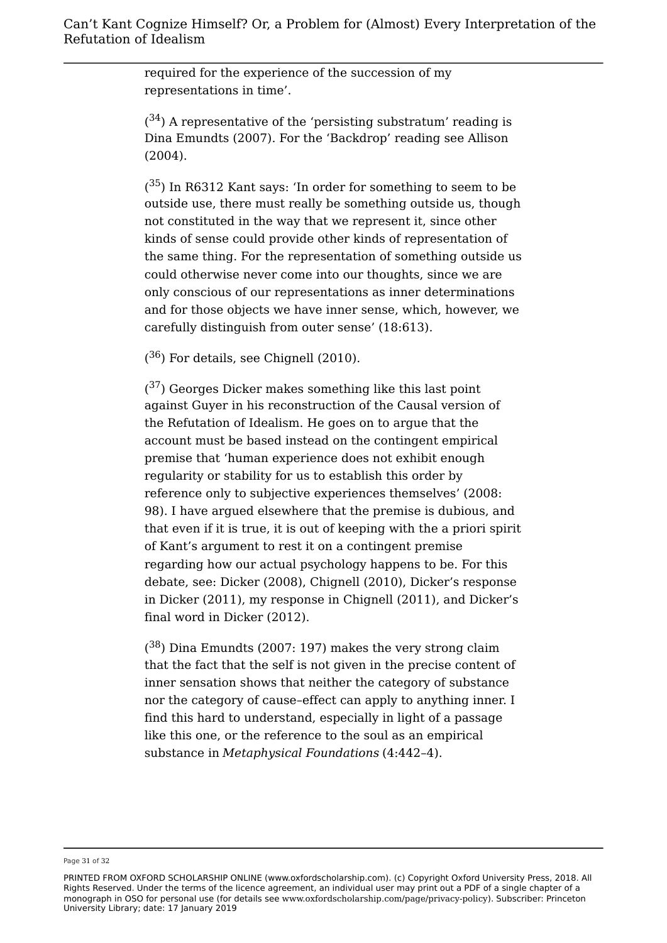required for the experience of the succession of my representations in time'.

 $(34)$  A representative of the 'persisting substratum' reading is Dina Emundts (2007). For the 'Backdrop' reading see Allison (2004).

 $(35)$  In R6312 Kant says: 'In order for something to seem to be outside use, there must really be something outside us, though not constituted in the way that we represent it, since other kinds of sense could provide other kinds of representation of the same thing. For the representation of something outside us could otherwise never come into our thoughts, since we are only conscious of our representations as inner determinations and for those objects we have inner sense, which, however, we carefully distinguish from outer sense' (18:613).

 $(36)$  For details, see Chignell (2010).

 $(37)$  Georges Dicker makes something like this last point against Guyer in his reconstruction of the Causal version of the Refutation of Idealism. He goes on to argue that the account must be based instead on the contingent empirical premise that 'human experience does not exhibit enough regularity or stability for us to establish this order by reference only to subjective experiences themselves' (2008: 98). I have argued elsewhere that the premise is dubious, and that even if it is true, it is out of keeping with the a priori spirit of Kant's argument to rest it on a contingent premise regarding how our actual psychology happens to be. For this debate, see: Dicker (2008), Chignell (2010), Dicker's response in Dicker (2011), my response in Chignell (2011), and Dicker's final word in Dicker (2012).

 $(38)$  Dina Emundts (2007: 197) makes the very strong claim that the fact that the self is not given in the precise content of inner sensation shows that neither the category of substance nor the category of cause–effect can apply to anything inner. I find this hard to understand, especially in light of a passage like this one, or the reference to the soul as an empirical substance in *Metaphysical Foundations* (4:442–4).

Page 31 of 32

PRINTED FROM OXFORD SCHOLARSHIP ONLINE (www.oxfordscholarship.com). (c) Copyright Oxford University Press, 2018. All Rights Reserved. Under the terms of the licence agreement, an individual user may print out a PDF of a single chapter of a monograph in OSO for personal use (for details see www.oxfordscholarship.com/page/privacy-policy). Subscriber: Princeton University Library; date: 17 January 2019